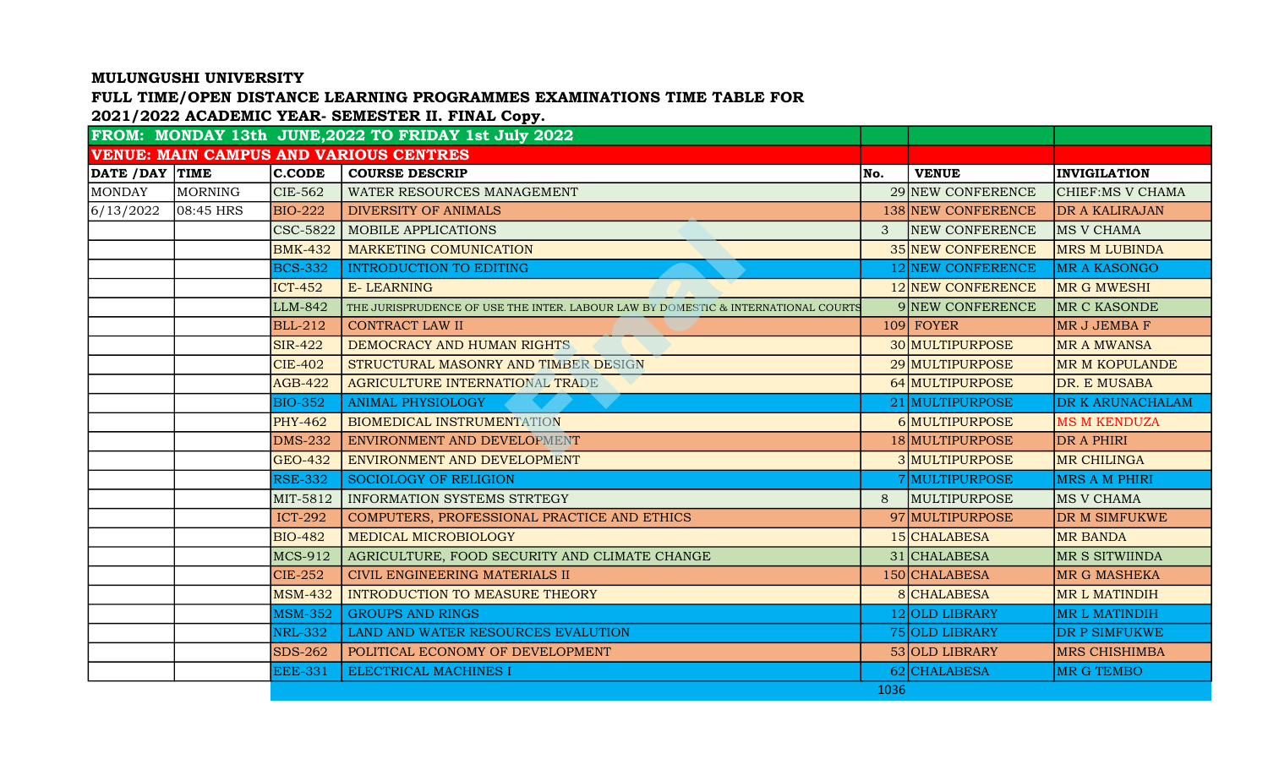## MULUNGUSHI UNIVERSITY

## FULL TIME/OPEN DISTANCE LEARNING PROGRAMMES EXAMINATIONS TIME TABLE FOR

## 2021/2022 ACADEMIC YEAR- SEMESTER II. FINAL Copy.

|                |              |                | FROM: MONDAY 13th JUNE, 2022 TO FRIDAY 1st July 2022                              |               |                       |                       |
|----------------|--------------|----------------|-----------------------------------------------------------------------------------|---------------|-----------------------|-----------------------|
|                |              |                | <b>VENUE: MAIN CAMPUS AND VARIOUS CENTRES</b>                                     |               |                       |                       |
| DATE /DAY TIME |              | $ $ C.CODE     | <b>COURSE DESCRIP</b>                                                             | No.           | <b>VENUE</b>          | <b>INVIGILATION</b>   |
| <b>MONDAY</b>  | MORNING      | <b>CIE-562</b> | WATER RESOURCES MANAGEMENT                                                        |               | 29 NEW CONFERENCE     | CHIEF:MS V CHAMA      |
| 6/13/2022      | $ 08:45$ HRS | <b>BIO-222</b> | <b>DIVERSITY OF ANIMALS</b>                                                       |               | 138 NEW CONFERENCE    | <b>DR A KALIRAJAN</b> |
|                |              | CSC-5822       | <b>MOBILE APPLICATIONS</b>                                                        | $\mathcal{S}$ | <b>NEW CONFERENCE</b> | MS V CHAMA            |
|                |              | <b>BMK-432</b> | MARKETING COMUNICATION                                                            |               | 35 NEW CONFERENCE     | <b>MRS M LUBINDA</b>  |
|                |              | <b>BCS-332</b> | <b>INTRODUCTION TO EDITING</b>                                                    |               | 12 NEW CONFERENCE     | <b>MR A KASONGO</b>   |
|                |              | $ICT-452$      | <b>E-LEARNING</b>                                                                 |               | 12 NEW CONFERENCE     | MR G MWESHI           |
|                |              | LLM-842        | THE JURISPRUDENCE OF USE THE INTER. LABOUR LAW BY DOMESTIC & INTERNATIONAL COURTS |               | 9 NEW CONFERENCE      | MR C KASONDE          |
|                |              | <b>BLL-212</b> | <b>CONTRACT LAW II</b>                                                            |               | 109 FOYER             | MR J JEMBA F          |
|                |              | <b>SIR-422</b> | DEMOCRACY AND HUMAN RIGHTS                                                        |               | 30 MULTIPURPOSE       | <b>MR A MWANSA</b>    |
|                |              | <b>CIE-402</b> | STRUCTURAL MASONRY AND TIMBER DESIGN                                              |               | 29 MULTIPURPOSE       | <b>MR M KOPULANDE</b> |
|                |              | <b>AGB-422</b> | AGRICULTURE INTERNATIONAL TRADE                                                   |               | 64 MULTIPURPOSE       | DR. E MUSABA          |
|                |              | <b>BIO-352</b> | <b>ANIMAL PHYSIOLOGY</b>                                                          |               | 21 MULTIPURPOSE       | DR K ARUNACHALAM      |
|                |              | <b>PHY-462</b> | <b>BIOMEDICAL INSTRUMENTATION</b>                                                 |               | 6 MULTIPURPOSE        | <b>MS M KENDUZA</b>   |
|                |              | <b>DMS-232</b> | ENVIRONMENT AND DEVELOPMENT                                                       |               | 18 MULTIPURPOSE       | DR A PHIRI            |
|                |              | <b>GEO-432</b> | ENVIRONMENT AND DEVELOPMENT                                                       |               | 3 MULTIPURPOSE        | <b>MR CHILINGA</b>    |
|                |              | <b>RSE-332</b> | <b>SOCIOLOGY OF RELIGION</b>                                                      |               | 7 MULTIPURPOSE        | <b>MRS A M PHIRI</b>  |
|                |              | MIT-5812       | INFORMATION SYSTEMS STRTEGY                                                       | 8             | MULTIPURPOSE          | MS V CHAMA            |
|                |              | <b>ICT-292</b> | COMPUTERS, PROFESSIONAL PRACTICE AND ETHICS                                       |               | 97 MULTIPURPOSE       | DR M SIMFUKWE         |
|                |              | <b>BIO-482</b> | MEDICAL MICROBIOLOGY                                                              |               | 15 CHALABESA          | <b>MR BANDA</b>       |
|                |              | <b>MCS-912</b> | AGRICULTURE, FOOD SECURITY AND CLIMATE CHANGE                                     |               | 31 CHALABESA          | MR S SITWIINDA        |
|                |              | <b>CIE-252</b> | CIVIL ENGINEERING MATERIALS II                                                    |               | 150 CHALABESA         | MR G MASHEKA          |
|                |              | <b>MSM-432</b> | <b>INTRODUCTION TO MEASURE THEORY</b>                                             |               | 8 CHALABESA           | <b>MRL MATINDIH</b>   |
|                |              | <b>MSM-352</b> | <b>GROUPS AND RINGS</b>                                                           |               | 12 OLD LIBRARY        | MR L MATINDIH         |
|                |              | <b>NRL-332</b> | LAND AND WATER RESOURCES EVALUTION                                                |               | 75 OLD LIBRARY        | <b>DR P SIMFUKWE</b>  |
|                |              | <b>SDS-262</b> | POLITICAL ECONOMY OF DEVELOPMENT                                                  |               | 53 OLD LIBRARY        | <b>MRS CHISHIMBA</b>  |
|                |              | <b>EEE-331</b> | ELECTRICAL MACHINES I                                                             |               | 62 CHALABESA          | <b>MR G TEMBO</b>     |
|                |              |                |                                                                                   | 1036          |                       |                       |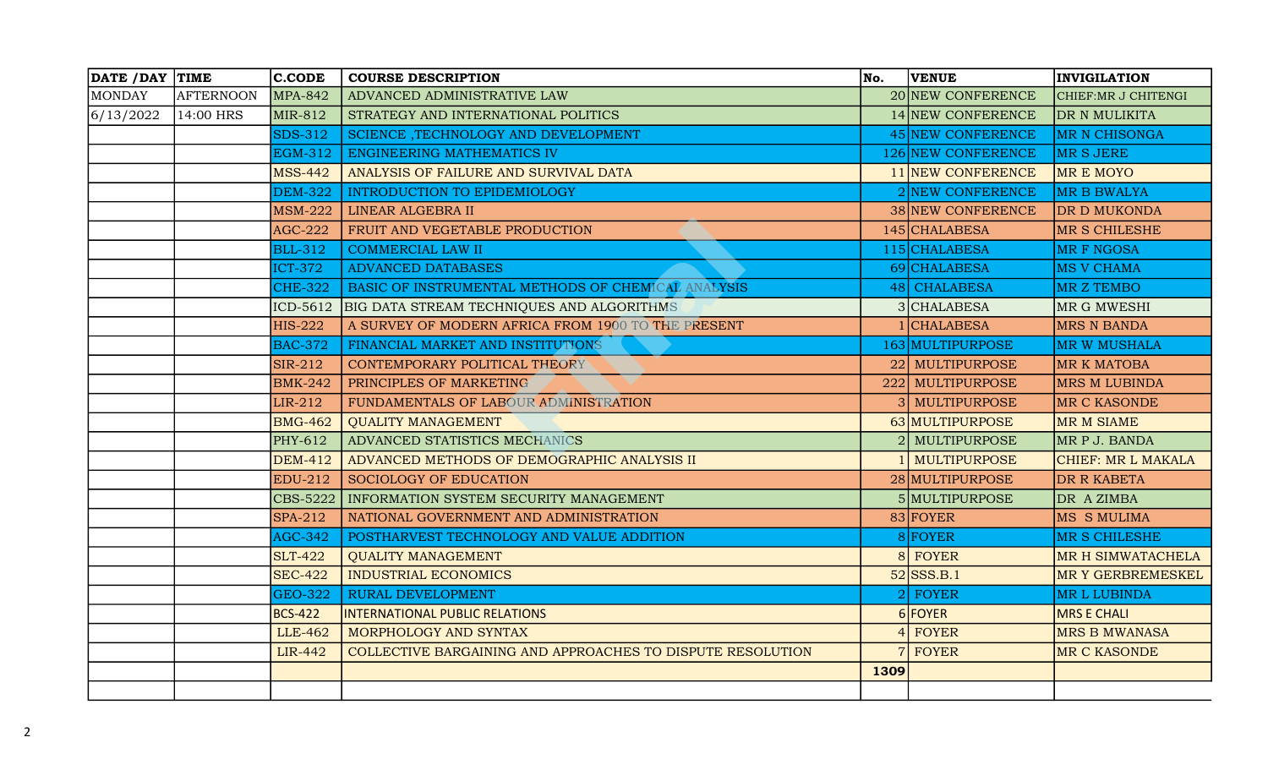| DATE / DAY TIME |                  | $ $ C.CODE     | <b>COURSE DESCRIPTION</b>                                  | No.            | <b>VENUE</b>        | <b>INVIGILATION</b>      |
|-----------------|------------------|----------------|------------------------------------------------------------|----------------|---------------------|--------------------------|
| MONDAY          | <b>AFTERNOON</b> | <b>MPA-842</b> | ADVANCED ADMINISTRATIVE LAW                                |                | 20 NEW CONFERENCE   | CHIEF: MR J CHITENGI     |
| 6/13/2022       | 14:00 HRS        | MIR-812        | STRATEGY AND INTERNATIONAL POLITICS                        |                | 14 NEW CONFERENCE   | DR N MULIKITA            |
|                 |                  | $SDS-312$      | SCIENCE , TECHNOLOGY AND DEVELOPMENT                       |                | 45 NEW CONFERENCE   | <b>MR N CHISONGA</b>     |
|                 |                  | <b>EGM-312</b> | ENGINEERING MATHEMATICS IV                                 |                | 126 NEW CONFERENCE  | MR S JERE                |
|                 |                  | <b>MSS-442</b> | ANALYSIS OF FAILURE AND SURVIVAL DATA                      |                | 11 NEW CONFERENCE   | <b>MREMOYO</b>           |
|                 |                  | <b>DEM-322</b> | <b>INTRODUCTION TO EPIDEMIOLOGY</b>                        |                | 2 NEW CONFERENCE    | <b>MR B BWALYA</b>       |
|                 |                  | <b>MSM-222</b> | LINEAR ALGEBRA II                                          |                | 38 NEW CONFERENCE   | <b>DR D MUKONDA</b>      |
|                 |                  | <b>AGC-222</b> | FRUIT AND VEGETABLE PRODUCTION                             |                | 145 CHALABESA       | <b>MR S CHILESHE</b>     |
|                 |                  | <b>BLL-312</b> | <b>COMMERCIAL LAW II</b>                                   |                | 115 CHALABESA       | <b>MR F NGOSA</b>        |
|                 |                  | <b>ICT-372</b> | <b>ADVANCED DATABASES</b>                                  |                | 69 CHALABESA        | <b>MS V CHAMA</b>        |
|                 |                  | $CHE-322$      | BASIC OF INSTRUMENTAL METHODS OF CHEMICAL ANALYSIS         | <sup>48</sup>  | <b>CHALABESA</b>    | MR Z TEMBO               |
|                 |                  | ICD-5612       | BIG DATA STREAM TECHNIQUES AND ALGORITHMS                  |                | 3 CHALABESA         | MR G MWESHI              |
|                 |                  | <b>HIS-222</b> | A SURVEY OF MODERN AFRICA FROM 1900 TO THE PRESENT         |                | <b>CHALABESA</b>    | <b>MRS N BANDA</b>       |
|                 |                  | <b>BAC-372</b> | FINANCIAL MARKET AND INSTITUTIONS                          |                | 163 MULTIPURPOSE    | <b>MR W MUSHALA</b>      |
|                 |                  | $SIR-212$      | CONTEMPORARY POLITICAL THEORY                              |                | 22 MULTIPURPOSE     | <b>MR K MATOBA</b>       |
|                 |                  | <b>BMK-242</b> | PRINCIPLES OF MARKETING                                    | 222            | <b>MULTIPURPOSE</b> | <b>MRS M LUBINDA</b>     |
|                 |                  | LIR-212        | FUNDAMENTALS OF LABOUR ADMINISTRATION                      |                | MULTIPURPOSE        | MR C KASONDE             |
|                 |                  | <b>BMG-462</b> | <b>QUALITY MANAGEMENT</b>                                  |                | 63 MULTIPURPOSE     | <b>MR M SIAME</b>        |
|                 |                  | PHY-612        | ADVANCED STATISTICS MECHANICS                              |                | <b>MULTIPURPOSE</b> | MR P J. BANDA            |
|                 |                  | <b>DEM-412</b> | ADVANCED METHODS OF DEMOGRAPHIC ANALYSIS II                |                | <b>MULTIPURPOSE</b> | CHIEF: MR L MAKALA       |
|                 |                  | <b>EDU-212</b> | <b>SOCIOLOGY OF EDUCATION</b>                              |                | 28 MULTIPURPOSE     | DR R KABETA              |
|                 |                  | CBS-5222       | INFORMATION SYSTEM SECURITY MANAGEMENT                     |                | 5 MULTIPURPOSE      | DR A ZIMBA               |
|                 |                  | <b>SPA-212</b> | NATIONAL GOVERNMENT AND ADMINISTRATION                     |                | 83 FOYER            | MS S MULIMA              |
|                 |                  | <b>AGC-342</b> | POSTHARVEST TECHNOLOGY AND VALUE ADDITION                  |                | FOYER               | <b>MR S CHILESHE</b>     |
|                 |                  | $SLT-422$      | <b>QUALITY MANAGEMENT</b>                                  | 8 <sup>1</sup> | FOYER               | MR H SIMWATACHELA        |
|                 |                  | <b>SEC-422</b> | <b>INDUSTRIAL ECONOMICS</b>                                |                | $52$ SSS.B.1        | <b>MR Y GERBREMESKEL</b> |
|                 |                  | <b>GEO-322</b> | <b>RURAL DEVELOPMENT</b>                                   |                | <b>FOYER</b>        | MR L LUBINDA             |
|                 |                  | <b>BCS-422</b> | <b>INTERNATIONAL PUBLIC RELATIONS</b>                      |                | 6 FOYER             | <b>MRS E CHALI</b>       |
|                 |                  | LLE-462        | MORPHOLOGY AND SYNTAX                                      |                | $4$ FOYER           | <b>MRS B MWANASA</b>     |
|                 |                  | <b>LIR-442</b> | COLLECTIVE BARGAINING AND APPROACHES TO DISPUTE RESOLUTION |                | 7 FOYER             | <b>MR C KASONDE</b>      |
|                 |                  |                |                                                            | 1309           |                     |                          |
|                 |                  |                |                                                            |                |                     |                          |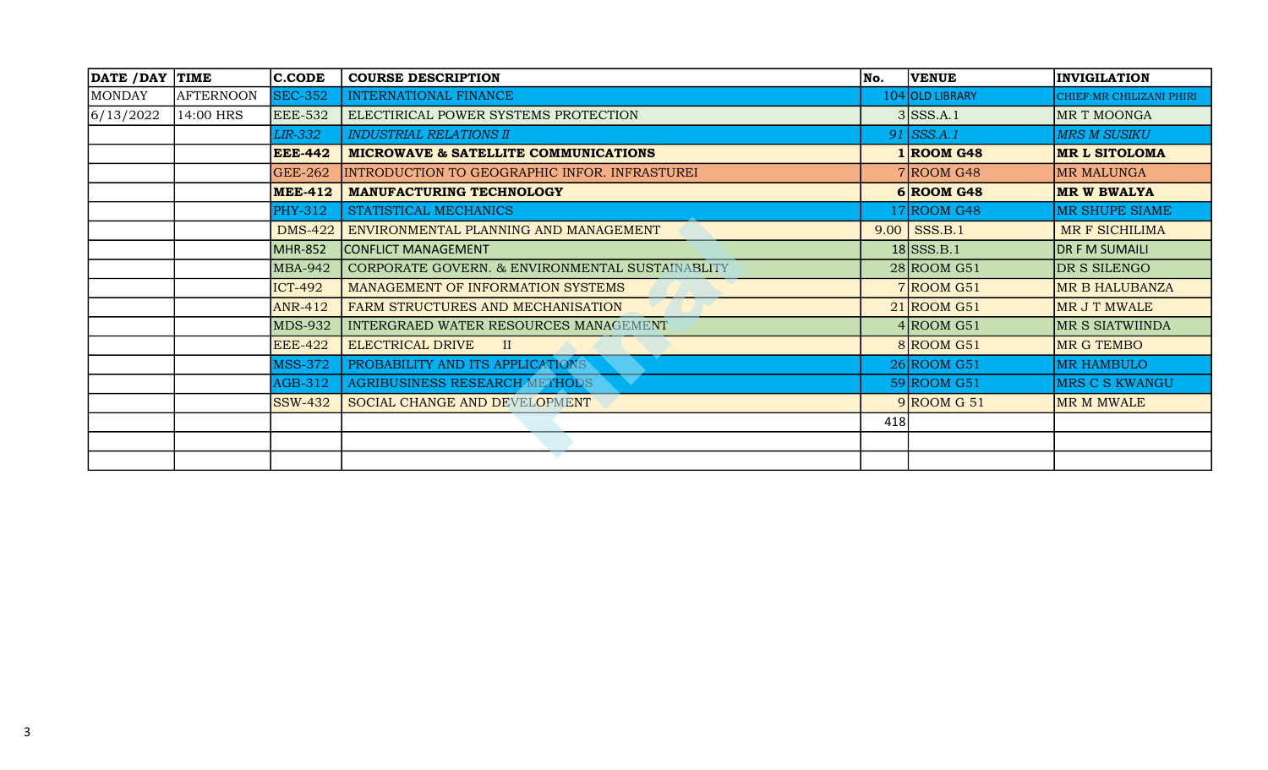| DATE /DAY TIME |                  | <b>C.CODE</b>  | <b>COURSE DESCRIPTION</b>                       | No.  | <b>VENUE</b>    | <b>INVIGILATION</b>       |
|----------------|------------------|----------------|-------------------------------------------------|------|-----------------|---------------------------|
| MONDAY         | <b>AFTERNOON</b> | <b>SEC-352</b> | INTERNATIONAL FINANCE                           |      | 104 OLD LIBRARY | CHIEF: MR CHILIZANI PHIRI |
| 6/13/2022      | 14:00 HRS        | <b>EEE-532</b> | ELECTIRICAL POWER SYSTEMS PROTECTION            |      | $3$ SSS.A.1     | MR T MOONGA               |
|                |                  | <b>LIR-332</b> | <b>INDUSTRIAL RELATIONS II</b>                  |      | $91$ SSS.A.1    | <b>MRS M SUSIKU</b>       |
|                |                  | <b>EEE-442</b> | MICROWAVE & SATELLITE COMMUNICATIONS            |      | $1 $ ROOM G48   | <b>MR L SITOLOMA</b>      |
|                |                  | <b>GEE-262</b> | INTRODUCTION TO GEOGRAPHIC INFOR. INFRASTUREI   |      | $7 $ ROOM G48   | <b>MR MALUNGA</b>         |
|                |                  | <b>MEE-412</b> | <b>MANUFACTURING TECHNOLOGY</b>                 |      | $6 $ ROOM G48   | MR W BWALYA               |
|                |                  | <b>PHY-312</b> | STATISTICAL MECHANICS                           |      | $17 $ ROOM G48  | MR SHUPE SIAME            |
|                |                  | <b>DMS-422</b> | ENVIRONMENTAL PLANNING AND MANAGEMENT           | 9.00 | SSS.B.1         | MR F SICHILIMA            |
|                |                  | <b>MHR-852</b> | CONFLICT MANAGEMENT                             |      | $18$ SSS.B.1    | <b>DR F M SUMAILI</b>     |
|                |                  | <b>MBA-942</b> | CORPORATE GOVERN. & ENVIRONMENTAL SUSTAINABLITY |      | $28 $ ROOM G51  | DR S SILENGO              |
|                |                  | $ICT-492$      | MANAGEMENT OF INFORMATION SYSTEMS               |      | $7 $ ROOM G51   | <b>MR B HALUBANZA</b>     |
|                |                  | <b>ANR-412</b> | FARM STRUCTURES AND MECHANISATION               |      | $21$ ROOM G51   | MR J T MWALE              |
|                |                  | <b>MDS-932</b> | INTERGRAED WATER RESOURCES MANAGEMENT           |      | $4 $ ROOM G51   | MR S SIATWIINDA           |
|                |                  | <b>EEE-422</b> | <b>ELECTRICAL DRIVE</b><br>$\mathbf{II}$        |      | $8 $ ROOM G51   | MR G TEMBO                |
|                |                  | <b>MSS-372</b> | PROBABILITY AND ITS APPLICATIONS                |      | $26$ ROOM G51   | <b>MR HAMBULO</b>         |
|                |                  | AGB-312        | AGRIBUSINESS RESEARCH METHODS                   |      | $59 $ ROOM G51  | <b>MRS C S KWANGU</b>     |
|                |                  | <b>SSW-432</b> | SOCIAL CHANGE AND DEVELOPMENT                   |      | $9$ ROOM G 51   | MR M MWALE                |
|                |                  |                |                                                 | 418  |                 |                           |
|                |                  |                |                                                 |      |                 |                           |
|                |                  |                |                                                 |      |                 |                           |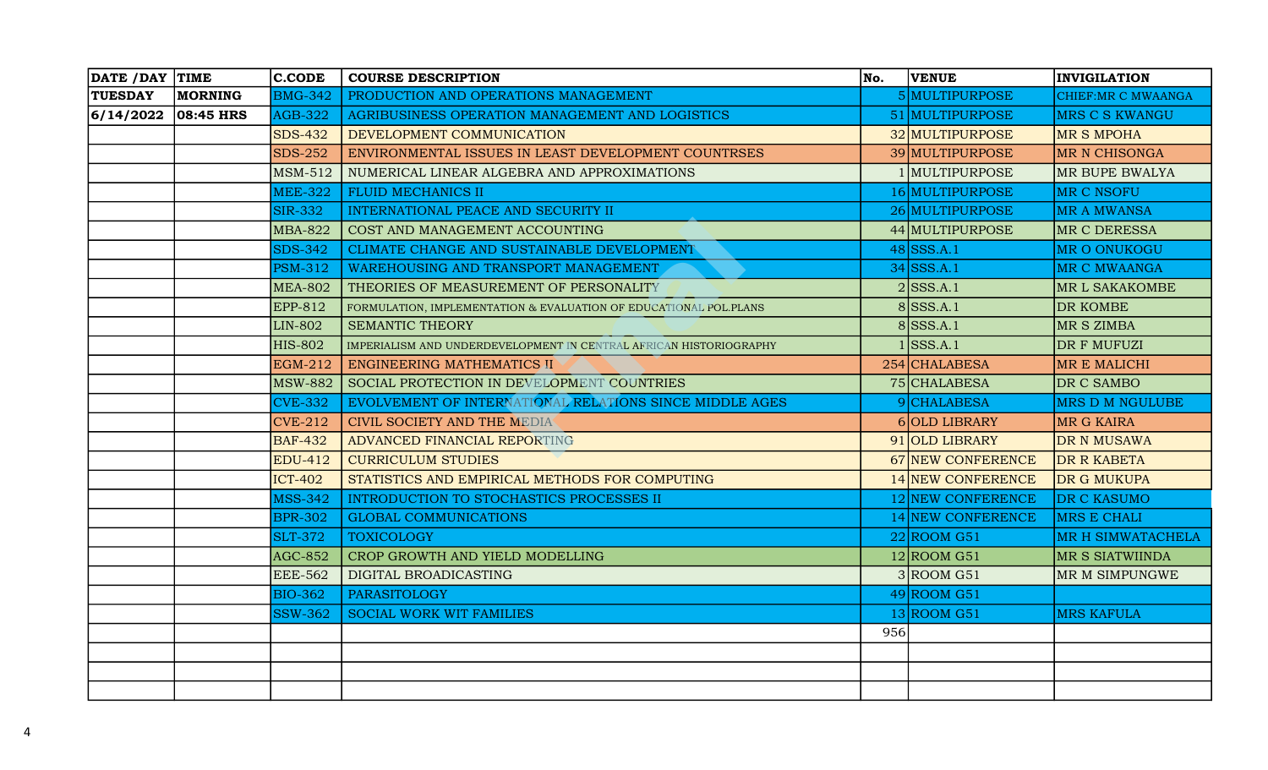| DATE / DAY TIME |              | $ $ C.CODE     | <b>COURSE DESCRIPTION</b>                                          | No. | <b>VENUE</b>      | <b>INVIGILATION</b>    |
|-----------------|--------------|----------------|--------------------------------------------------------------------|-----|-------------------|------------------------|
| <b>TUESDAY</b>  | MORNING      | <b>BMG-342</b> | PRODUCTION AND OPERATIONS MANAGEMENT                               |     | 5 MULTIPURPOSE    | CHIEF: MR C MWAANGA    |
| 6/14/2022       | $ 08:45$ HRS | <b>AGB-322</b> | AGRIBUSINESS OPERATION MANAGEMENT AND LOGISTICS                    |     | 51 MULTIPURPOSE   | <b>MRS C S KWANGU</b>  |
|                 |              | <b>SDS-432</b> | DEVELOPMENT COMMUNICATION                                          |     | 32 MULTIPURPOSE   | MR S MPOHA             |
|                 |              | <b>SDS-252</b> | ENVIRONMENTAL ISSUES IN LEAST DEVELOPMENT COUNTRSES                |     | 39 MULTIPURPOSE   | <b>MR N CHISONGA</b>   |
|                 |              | <b>MSM-512</b> | NUMERICAL LINEAR ALGEBRA AND APPROXIMATIONS                        |     | 1 MULTIPURPOSE    | MR BUPE BWALYA         |
|                 |              | <b>MEE-322</b> | <b>FLUID MECHANICS II</b>                                          |     | 16 MULTIPURPOSE   | MR C NSOFU             |
|                 |              | <b>SIR-332</b> | INTERNATIONAL PEACE AND SECURITY II                                |     | 26 MULTIPURPOSE   | <b>MR A MWANSA</b>     |
|                 |              | <b>MBA-822</b> | COST AND MANAGEMENT ACCOUNTING                                     |     | 44 MULTIPURPOSE   | MR C DERESSA           |
|                 |              | <b>SDS-342</b> | CLIMATE CHANGE AND SUSTAINABLE DEVELOPMENT                         |     | $48$ SSS.A.1      | <b>MR O ONUKOGU</b>    |
|                 |              | <b>PSM-312</b> | WAREHOUSING AND TRANSPORT MANAGEMENT                               |     | $34$ SSS.A.1      | <b>MR C MWAANGA</b>    |
|                 |              | <b>MEA-802</b> | THEORIES OF MEASUREMENT OF PERSONALITY                             |     | $2$ SSS.A.1       | <b>MR L SAKAKOMBE</b>  |
|                 |              | EPP-812        | FORMULATION, IMPLEMENTATION & EVALUATION OF EDUCATIONAL POL.PLANS  |     | $8$ SSS.A.1       | <b>DR KOMBE</b>        |
|                 |              | <b>LIN-802</b> | <b>SEMANTIC THEORY</b>                                             |     | $8$ SSS.A.1       | MR S ZIMBA             |
|                 |              | <b>HIS-802</b> | IMPERIALISM AND UNDERDEVELOPMENT IN CENTRAL AFRICAN HISTORIOGRAPHY |     | $1$ SSS.A.1       | DR F MUFUZI            |
|                 |              | EGM-212        | ENGINEERING MATHEMATICS II                                         |     | 254 CHALABESA     | <b>MR E MALICHI</b>    |
|                 |              | <b>MSW-882</b> | SOCIAL PROTECTION IN DEVELOPMENT COUNTRIES                         |     | 75 CHALABESA      | DR C SAMBO             |
|                 |              | <b>CVE-332</b> | EVOLVEMENT OF INTERNATIONAL RELATIONS SINCE MIDDLE AGES            |     | 9 CHALABESA       | <b>MRS D M NGULUBE</b> |
|                 |              | $CVE-212$      | CIVIL SOCIETY AND THE MEDIA                                        |     | 6 OLD LIBRARY     | <b>MR G KAIRA</b>      |
|                 |              | <b>BAF-432</b> | ADVANCED FINANCIAL REPORTING                                       |     | 91 OLD LIBRARY    | <b>DR N MUSAWA</b>     |
|                 |              | <b>EDU-412</b> | <b>CURRICULUM STUDIES</b>                                          |     | 67 NEW CONFERENCE | <b>DR R KABETA</b>     |
|                 |              | <b>ICT-402</b> | STATISTICS AND EMPIRICAL METHODS FOR COMPUTING                     |     | 14 NEW CONFERENCE | DR G MUKUPA            |
|                 |              | <b>MSS-342</b> | INTRODUCTION TO STOCHASTICS PROCESSES II                           |     | 12 NEW CONFERENCE | DR C KASUMO            |
|                 |              | <b>BPR-302</b> | <b>GLOBAL COMMUNICATIONS</b>                                       |     | 14 NEW CONFERENCE | MRS E CHALI            |
|                 |              | <b>SLT-372</b> | <b>TOXICOLOGY</b>                                                  |     | $22$ ROOM G51     | MR H SIMWATACHELA      |
|                 |              | <b>AGC-852</b> | CROP GROWTH AND YIELD MODELLING                                    |     | $12 $ ROOM G51    | <b>MR S SIATWIINDA</b> |
|                 |              | <b>EEE-562</b> | DIGITAL BROADICASTING                                              |     | 3 R OOM G51       | MR M SIMPUNGWE         |
|                 |              | <b>BIO-362</b> | <b>PARASITOLOGY</b>                                                |     | $49$ ROOM G51     |                        |
|                 |              | <b>SSW-362</b> | <b>SOCIAL WORK WIT FAMILIES</b>                                    |     | $13 $ ROOM G51    | <b>MRS KAFULA</b>      |
|                 |              |                |                                                                    | 956 |                   |                        |
|                 |              |                |                                                                    |     |                   |                        |
|                 |              |                |                                                                    |     |                   |                        |
|                 |              |                |                                                                    |     |                   |                        |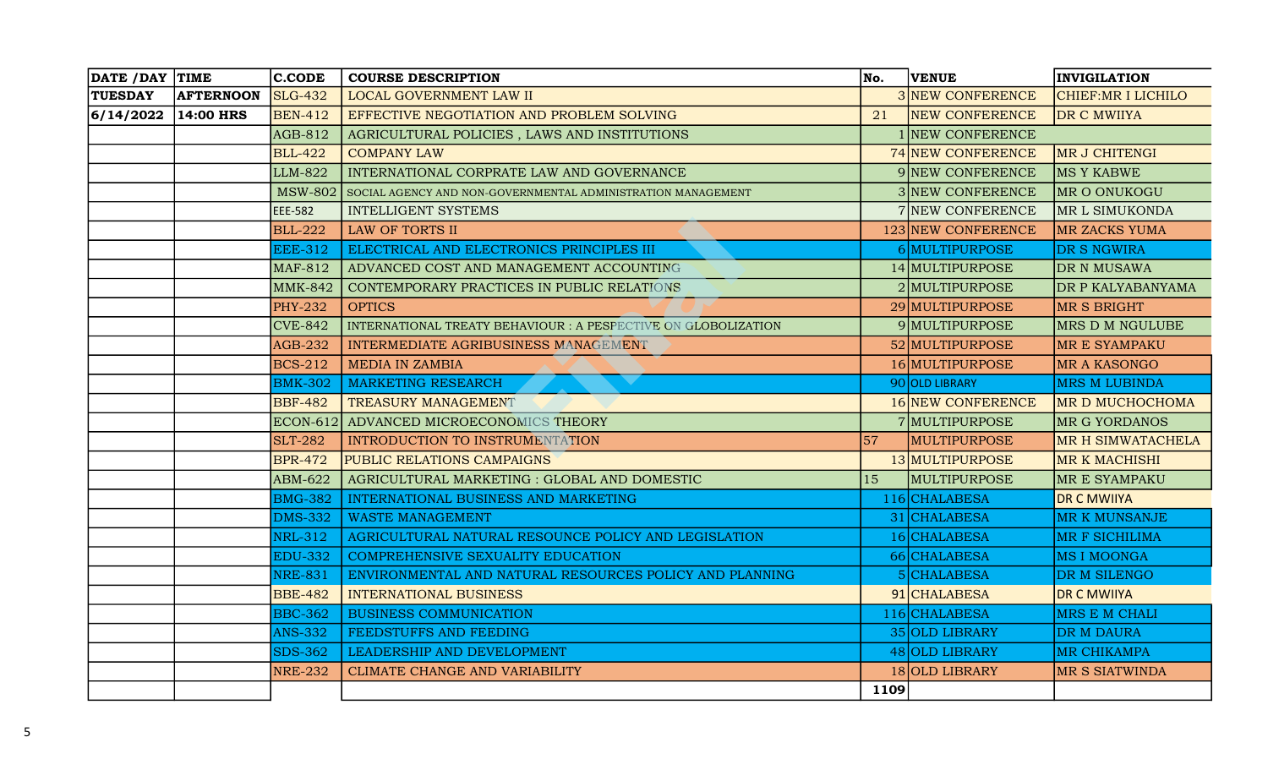| DATE / DAY TIME |                  | $ $ C.CODE     | <b>COURSE DESCRIPTION</b>                                      | No.         | <b>VENUE</b>             | <b>INVIGILATION</b>   |
|-----------------|------------------|----------------|----------------------------------------------------------------|-------------|--------------------------|-----------------------|
| <b>TUESDAY</b>  | <b>AFTERNOON</b> | <b>SLG-432</b> | LOCAL GOVERNMENT LAW II                                        |             | 3 NEW CONFERENCE         | CHIEF:MR I LICHILO    |
| 6/14/2022       | $14:00$ HRS      | <b>BEN-412</b> | EFFECTIVE NEGOTIATION AND PROBLEM SOLVING                      | 21          | <b>NEW CONFERENCE</b>    | DR C MWIIYA           |
|                 |                  | AGB-812        | AGRICULTURAL POLICIES, LAWS AND INSTITUTIONS                   |             | 1 NEW CONFERENCE         |                       |
|                 |                  | <b>BLL-422</b> | <b>COMPANY LAW</b>                                             |             | 74 NEW CONFERENCE        | MR J CHITENGI         |
|                 |                  | LLM-822        | INTERNATIONAL CORPRATE LAW AND GOVERNANCE                      |             | 9 NEW CONFERENCE         | <b>MS Y KABWE</b>     |
|                 |                  | <b>MSW-802</b> | SOCIAL AGENCY AND NON-GOVERNMENTAL ADMINISTRATION MANAGEMENT   |             | 3 NEW CONFERENCE         | MR O ONUKOGU          |
|                 |                  | <b>EEE-582</b> | <b>INTELLIGENT SYSTEMS</b>                                     |             | 7 NEW CONFERENCE         | MR L SIMUKONDA        |
|                 |                  | <b>BLL-222</b> | LAW OF TORTS II                                                |             | 123 NEW CONFERENCE       | <b>MR ZACKS YUMA</b>  |
|                 |                  | <b>EEE-312</b> | ELECTRICAL AND ELECTRONICS PRINCIPLES III                      |             | 6 MULTIPURPOSE           | DR S NGWIRA           |
|                 |                  | <b>MAF-812</b> | ADVANCED COST AND MANAGEMENT ACCOUNTING                        |             | 14 MULTIPURPOSE          | DR N MUSAWA           |
|                 |                  | <b>MMK-842</b> | CONTEMPORARY PRACTICES IN PUBLIC RELATIONS                     |             | 2 MULTIPURPOSE           | DR P KALYABANYAMA     |
|                 |                  | <b>PHY-232</b> | <b>OPTICS</b>                                                  |             | 29 MULTIPURPOSE          | <b>MR S BRIGHT</b>    |
|                 |                  | $CVE-842$      | INTERNATIONAL TREATY BEHAVIOUR : A PESPECTIVE ON GLOBOLIZATION |             | 9 MULTIPURPOSE           | MRS D M NGULUBE       |
|                 |                  | $AGB-232$      | INTERMEDIATE AGRIBUSINESS MANAGEMENT                           |             | 52 MULTIPURPOSE          | MR E SYAMPAKU         |
|                 |                  | <b>BCS-212</b> | <b>MEDIA IN ZAMBIA</b>                                         |             | 16 MULTIPURPOSE          | MR A KASONGO          |
|                 |                  | <b>BMK-302</b> | <b>MARKETING RESEARCH</b>                                      |             | 90 OLD LIBRARY           | <b>MRS M LUBINDA</b>  |
|                 |                  | <b>BBF-482</b> | TREASURY MANAGEMENT                                            |             | <b>16 NEW CONFERENCE</b> | MR D MUCHOCHOMA       |
|                 |                  |                | <b>ECON-612 ADVANCED MICROECONOMICS THEORY</b>                 |             | 7 MULTIPURPOSE           | MR G YORDANOS         |
|                 |                  | <b>SLT-282</b> | INTRODUCTION TO INSTRUMENTATION                                | 57          | <b>MULTIPURPOSE</b>      | MR H SIMWATACHELA     |
|                 |                  | <b>BPR-472</b> | <b>PUBLIC RELATIONS CAMPAIGNS</b>                              |             | 13 MULTIPURPOSE          | <b>MR K MACHISHI</b>  |
|                 |                  | ABM-622        | AGRICULTURAL MARKETING : GLOBAL AND DOMESTIC                   | 15          | MULTIPURPOSE             | MR E SYAMPAKU         |
|                 |                  | <b>BMG-382</b> | INTERNATIONAL BUSINESS AND MARKETING                           |             | 116 CHALABESA            | <b>DR C MWIIYA</b>    |
|                 |                  | <b>DMS-332</b> | <b>WASTE MANAGEMENT</b>                                        |             | 31 CHALABESA             | <b>MR K MUNSANJE</b>  |
|                 |                  | <b>NRL-312</b> | AGRICULTURAL NATURAL RESOUNCE POLICY AND LEGISLATION           |             | 16 CHALABESA             | <b>MR F SICHILIMA</b> |
|                 |                  | <b>EDU-332</b> | COMPREHENSIVE SEXUALITY EDUCATION                              |             | 66 CHALABESA             | <b>MSIMOONGA</b>      |
|                 |                  | <b>NRE-831</b> | ENVIRONMENTAL AND NATURAL RESOURCES POLICY AND PLANNING        |             | CHALABESA                | DR M SILENGO          |
|                 |                  | <b>BBE-482</b> | <b>INTERNATIONAL BUSINESS</b>                                  |             | 91 CHALABESA             | <b>DR C MWIIYA</b>    |
|                 |                  | <b>BBC-362</b> | <b>BUSINESS COMMUNICATION</b>                                  |             | 116 CHALABESA            | MRS E M CHALI         |
|                 |                  | <b>ANS-332</b> | FEEDSTUFFS AND FEEDING                                         |             | 35 OLD LIBRARY           | <b>DR M DAURA</b>     |
|                 |                  | <b>SDS-362</b> | LEADERSHIP AND DEVELOPMENT                                     |             | 48 OLD LIBRARY           | <b>MR CHIKAMPA</b>    |
|                 |                  | <b>NRE-232</b> | CLIMATE CHANGE AND VARIABILITY                                 |             | 18 OLD LIBRARY           | <b>MR S SIATWINDA</b> |
|                 |                  |                |                                                                | <b>1109</b> |                          |                       |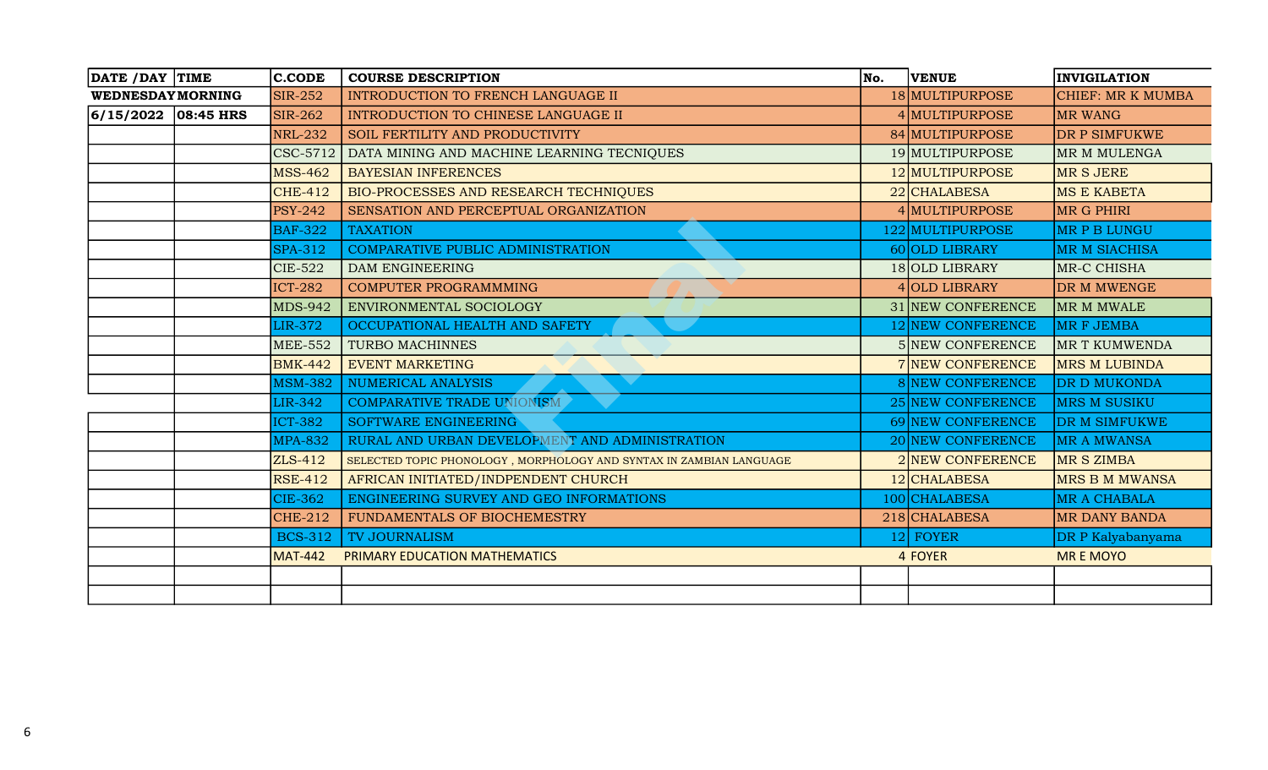| DATE / DAY TIME         | <b>C.CODE</b>   | <b>COURSE DESCRIPTION</b>                                           | No. | <b>VENUE</b>      | <b>INVIGILATION</b>   |
|-------------------------|-----------------|---------------------------------------------------------------------|-----|-------------------|-----------------------|
| <b>WEDNESDAYMORNING</b> | <b>SIR-252</b>  | INTRODUCTION TO FRENCH LANGUAGE II                                  |     | 18 MULTIPURPOSE   | CHIEF: MR K MUMBA     |
| $ 6/15/2022 08:45$ HRS  | <b>SIR-262</b>  | INTRODUCTION TO CHINESE LANGUAGE II                                 |     | 4 MULTIPURPOSE    | <b>MR WANG</b>        |
|                         | <b>NRL-232</b>  | SOIL FERTILITY AND PRODUCTIVITY                                     |     | 84 MULTIPURPOSE   | <b>DR P SIMFUKWE</b>  |
|                         | <b>CSC-5712</b> | DATA MINING AND MACHINE LEARNING TECNIQUES                          |     | 19 MULTIPURPOSE   | MR M MULENGA          |
|                         | <b>MSS-462</b>  | <b>BAYESIAN INFERENCES</b>                                          |     | 12 MULTIPURPOSE   | <b>MRSJERE</b>        |
|                         | <b>CHE-412</b>  | BIO-PROCESSES AND RESEARCH TECHNIQUES                               |     | 22 CHALABESA      | <b>MS E KABETA</b>    |
|                         | <b>PSY-242</b>  | SENSATION AND PERCEPTUAL ORGANIZATION                               |     | 4 MULTIPURPOSE    | MR G PHIRI            |
|                         | <b>BAF-322</b>  | <b>TAXATION</b>                                                     |     | 122 MULTIPURPOSE  | <b>MRPBLUNGU</b>      |
|                         | <b>SPA-312</b>  | COMPARATIVE PUBLIC ADMINISTRATION                                   |     | 60 OLD LIBRARY    | <b>MR M SIACHISA</b>  |
|                         | <b>CIE-522</b>  | DAM ENGINEERING                                                     |     | 18 OLD LIBRARY    | MR-C CHISHA           |
|                         | <b>ICT-282</b>  | <b>COMPUTER PROGRAMMMING</b>                                        |     | 4 OLD LIBRARY     | DR M MWENGE           |
|                         | <b>MDS-942</b>  | ENVIRONMENTAL SOCIOLOGY                                             |     | 31 NEW CONFERENCE | MR M MWALE            |
|                         | <b>LIR-372</b>  | OCCUPATIONAL HEALTH AND SAFETY                                      |     | 12 NEW CONFERENCE | MR F JEMBA            |
|                         | <b>MEE-552</b>  | <b>TURBO MACHINNES</b>                                              |     | 5 NEW CONFERENCE  | <b>MR T KUMWENDA</b>  |
|                         | <b>BMK-442</b>  | <b>EVENT MARKETING</b>                                              |     | 7 NEW CONFERENCE  | <b>MRS M LUBINDA</b>  |
|                         | <b>MSM-382</b>  | <b>NUMERICAL ANALYSIS</b>                                           |     | 8 NEW CONFERENCE  | <b>DR D MUKONDA</b>   |
|                         | <b>LIR-342</b>  | <b>COMPARATIVE TRADE UNIONISM</b>                                   |     | 25 NEW CONFERENCE | <b>MRS M SUSIKU</b>   |
|                         | <b>ICT-382</b>  | SOFTWARE ENGINEERING                                                |     | 69 NEW CONFERENCE | <b>DR M SIMFUKWE</b>  |
|                         | <b>MPA-832</b>  | RURAL AND URBAN DEVELOPMENT AND ADMINISTRATION                      |     | 20 NEW CONFERENCE | <b>MR A MWANSA</b>    |
|                         | ZLS-412         | SELECTED TOPIC PHONOLOGY, MORPHOLOGY AND SYNTAX IN ZAMBIAN LANGUAGE |     | 2 NEW CONFERENCE  | MR S ZIMBA            |
|                         | <b>RSE-412</b>  | AFRICAN INITIATED/INDPENDENT CHURCH                                 |     | 12 CHALABESA      | <b>MRS B M MWANSA</b> |
|                         | <b>CIE-362</b>  | ENGINEERING SURVEY AND GEO INFORMATIONS                             |     | 100 CHALABESA     | <b>MR A CHABALA</b>   |
|                         | <b>CHE-212</b>  | FUNDAMENTALS OF BIOCHEMESTRY                                        |     | 218 CHALABESA     | <b>MR DANY BANDA</b>  |
|                         | <b>BCS-312</b>  | <b>TV JOURNALISM</b>                                                |     | 12 FOYER          | DR P Kalyabanyama     |
|                         | <b>MAT-442</b>  | PRIMARY EDUCATION MATHEMATICS                                       |     | <b>4 FOYER</b>    | <b>MREMOYO</b>        |
|                         |                 |                                                                     |     |                   |                       |
|                         |                 |                                                                     |     |                   |                       |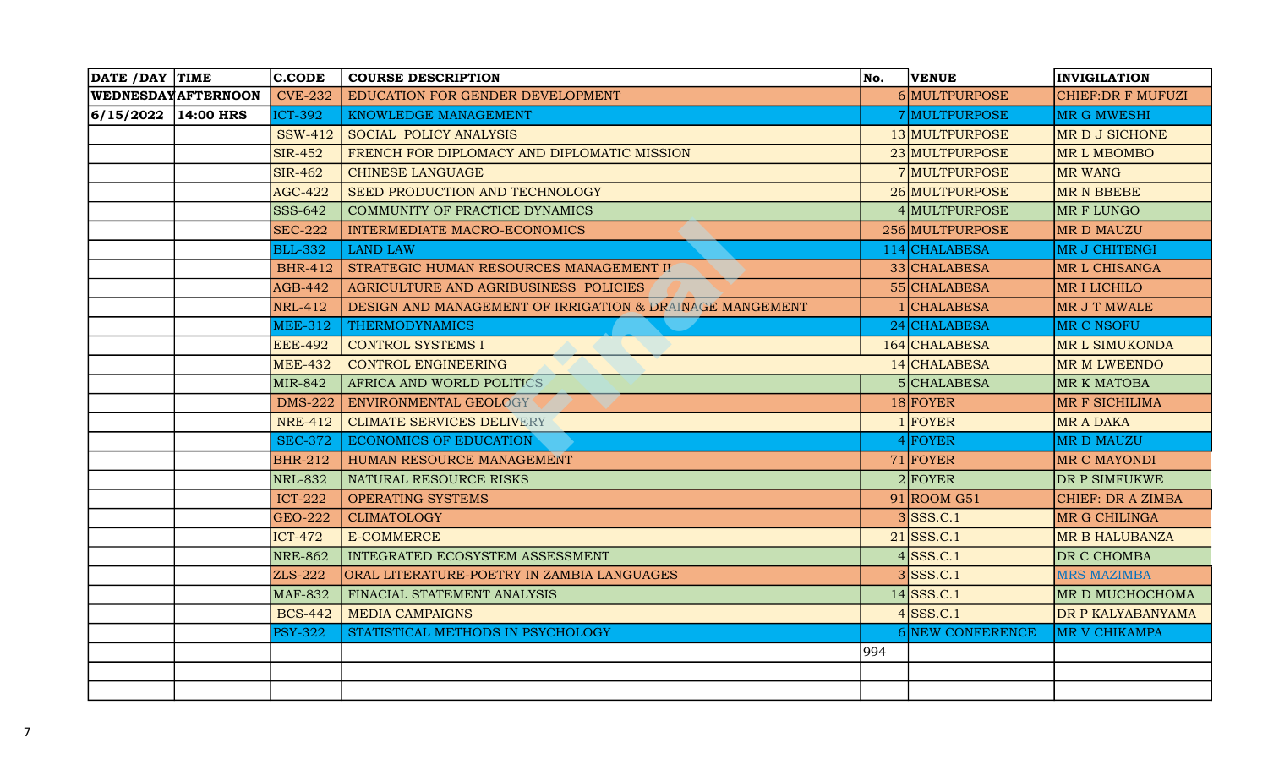| DATE / DAY TIME        |                           | $ $ C.CODE     | <b>COURSE DESCRIPTION</b>                                | No.            | <b>VENUE</b>     | <b>INVIGILATION</b>      |
|------------------------|---------------------------|----------------|----------------------------------------------------------|----------------|------------------|--------------------------|
|                        | <b>WEDNESDAYAFTERNOON</b> | <b>CVE-232</b> | EDUCATION FOR GENDER DEVELOPMENT                         |                | 6 MULTPURPOSE    | <b>CHIEF:DR F MUFUZI</b> |
| $ 6/15/2022 14:00$ HRS |                           | <b>ICT-392</b> | KNOWLEDGE MANAGEMENT                                     |                | 7 MULTPURPOSE    | <b>MR G MWESHI</b>       |
|                        |                           | <b>SSW-412</b> | SOCIAL POLICY ANALYSIS                                   |                | 13 MULTPURPOSE   | MR D J SICHONE           |
|                        |                           | <b>SIR-452</b> | FRENCH FOR DIPLOMACY AND DIPLOMATIC MISSION              |                | 23 MULTPURPOSE   | <b>MRL MBOMBO</b>        |
|                        |                           | <b>SIR-462</b> | <b>CHINESE LANGUAGE</b>                                  |                | 7 MULTPURPOSE    | <b>MR WANG</b>           |
|                        |                           | <b>AGC-422</b> | SEED PRODUCTION AND TECHNOLOGY                           |                | 26 MULTPURPOSE   | <b>MR N BBEBE</b>        |
|                        |                           | SSS-642        | COMMUNITY OF PRACTICE DYNAMICS                           |                | 4 MULTPURPOSE    | MR F LUNGO               |
|                        |                           | <b>SEC-222</b> | <b>INTERMEDIATE MACRO-ECONOMICS</b>                      |                | 256 MULTPURPOSE  | <b>MRD MAUZU</b>         |
|                        |                           | <b>BLL-332</b> | <b>LAND LAW</b>                                          |                | 114 CHALABESA    | MR J CHITENGI            |
|                        |                           | <b>BHR-412</b> | STRATEGIC HUMAN RESOURCES MANAGEMENT II                  |                | 33 CHALABESA     | <b>MRL CHISANGA</b>      |
|                        |                           | <b>AGB-442</b> | AGRICULTURE AND AGRIBUSINESS POLICIES                    |                | 55 CHALABESA     | <b>MRILICHILO</b>        |
|                        |                           | <b>NRL-412</b> | DESIGN AND MANAGEMENT OF IRRIGATION & DRAINAGE MANGEMENT |                | <b>CHALABESA</b> | MR J T MWALE             |
|                        |                           | <b>MEE-312</b> | <b>THERMODYNAMICS</b>                                    |                | 24 CHALABESA     | MR C NSOFU               |
|                        |                           | <b>EEE-492</b> | <b>CONTROL SYSTEMS I</b>                                 |                | 164 CHALABESA    | <b>MRL SIMUKONDA</b>     |
|                        |                           | <b>MEE-432</b> | <b>CONTROL ENGINEERING</b>                               |                | 14 CHALABESA     | <b>MR M LWEENDO</b>      |
|                        |                           | MIR-842        | AFRICA AND WORLD POLITICS                                |                | 5 CHALABESA      | <b>MR K MATOBA</b>       |
|                        |                           | <b>DMS-222</b> | ENVIRONMENTAL GEOLOGY                                    |                | $18$ FOYER       | <b>MR F SICHILIMA</b>    |
|                        |                           | <b>NRE-412</b> | <b>CLIMATE SERVICES DELIVERY</b>                         |                | $1$ FOYER        | <b>MR A DAKA</b>         |
|                        |                           | <b>SEC-372</b> | <b>ECONOMICS OF EDUCATION</b>                            |                | $4$ FOYER        | <b>MRD MAUZU</b>         |
|                        |                           | <b>BHR-212</b> | HUMAN RESOURCE MANAGEMENT                                |                | $71$ FOYER       | <b>MR C MAYONDI</b>      |
|                        |                           | <b>NRL-832</b> | NATURAL RESOURCE RISKS                                   |                | $2$ FOYER        | DR P SIMFUKWE            |
|                        |                           | <b>ICT-222</b> | <b>OPERATING SYSTEMS</b>                                 |                | $91 $ ROOM G51   | CHIEF: DR A ZIMBA        |
|                        |                           | <b>GEO-222</b> | <b>CLIMATOLOGY</b>                                       |                | SSS.C.1          | <b>MR G CHILINGA</b>     |
|                        |                           | <b>ICT-472</b> | <b>E-COMMERCE</b>                                        |                | $21$ SSS.C.1     | <b>MR B HALUBANZA</b>    |
|                        |                           | <b>NRE-862</b> | INTEGRATED ECOSYSTEM ASSESSMENT                          | $\overline{4}$ | SSS.C.1          | DR C CHOMBA              |
|                        |                           | ZLS-222        | ORAL LITERATURE-POETRY IN ZAMBIA LANGUAGES               |                | $3$ SSS.C.1      | <b>MRS MAZIMBA</b>       |
|                        |                           | <b>MAF-832</b> | FINACIAL STATEMENT ANALYSIS                              |                | $14$ SSS.C.1     | MR D MUCHOCHOMA          |
|                        |                           | <b>BCS-442</b> | <b>MEDIA CAMPAIGNS</b>                                   |                | $4$ SSS.C.1      | DR P KALYABANYAMA        |
|                        |                           | <b>PSY-322</b> | STATISTICAL METHODS IN PSYCHOLOGY                        |                | 6 NEW CONFERENCE | <b>MR V CHIKAMPA</b>     |
|                        |                           |                |                                                          | 994            |                  |                          |
|                        |                           |                |                                                          |                |                  |                          |
|                        |                           |                |                                                          |                |                  |                          |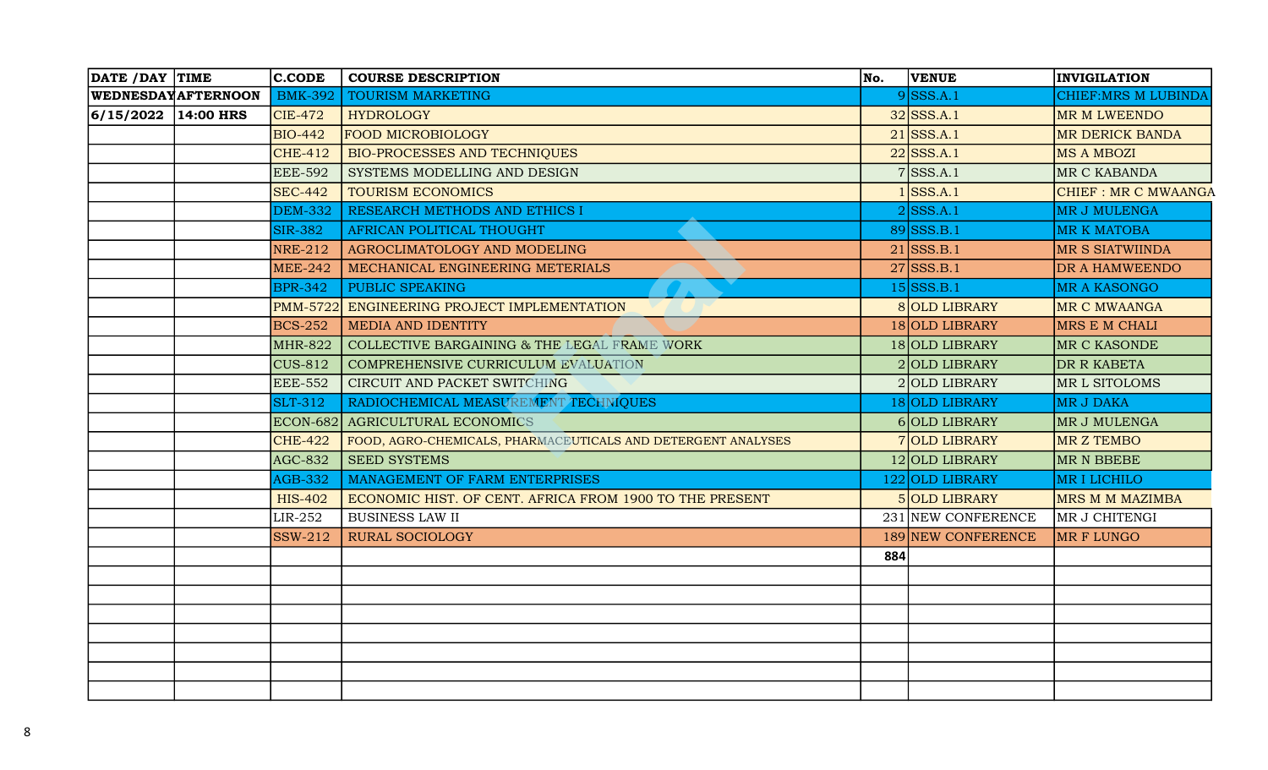| DATE / DAY TIME        |                           | $ $ C.CODE     | <b>COURSE DESCRIPTION</b>                                    | No. | <b>VENUE</b>       | <b>INVIGILATION</b>        |
|------------------------|---------------------------|----------------|--------------------------------------------------------------|-----|--------------------|----------------------------|
|                        | <b>WEDNESDAYAFTERNOON</b> | <b>BMK-392</b> | <b>TOURISM MARKETING</b>                                     |     | $9$ SSS.A.1        | <b>CHIEF:MRS M LUBINDA</b> |
| $ 6/15/2022 14:00$ HRS |                           | $CIE-472$      | <b>HYDROLOGY</b>                                             |     | $32$ SSS.A.1       | MR M LWEENDO               |
|                        |                           | <b>BIO-442</b> | <b>FOOD MICROBIOLOGY</b>                                     |     | $21$ SSS.A.1       | <b>MR DERICK BANDA</b>     |
|                        |                           | <b>CHE-412</b> | <b>BIO-PROCESSES AND TECHNIQUES</b>                          |     | $22$ SSS.A.1       | <b>MS A MBOZI</b>          |
|                        |                           | <b>EEE-592</b> | SYSTEMS MODELLING AND DESIGN                                 |     | $7$ SSS.A.1        | MR C KABANDA               |
|                        |                           | <b>SEC-442</b> | <b>TOURISM ECONOMICS</b>                                     |     | SSS.A.1            | <b>CHIEF: MR C MWAANGA</b> |
|                        |                           | <b>DEM-332</b> | RESEARCH METHODS AND ETHICS I                                |     | $2$ SSS.A.1        | <b>MR J MULENGA</b>        |
|                        |                           | <b>SIR-382</b> | AFRICAN POLITICAL THOUGHT                                    |     | $89$ SSS.B.1       | <b>MR K MATOBA</b>         |
|                        |                           | <b>NRE-212</b> | AGROCLIMATOLOGY AND MODELING                                 |     | $21$ SSS.B.1       | MR S SIATWIINDA            |
|                        |                           | <b>MEE-242</b> | MECHANICAL ENGINEERING METERIALS                             |     | $27$ SSS.B.1       | DR A HAMWEENDO             |
|                        |                           | <b>BPR-342</b> | PUBLIC SPEAKING                                              |     | $15$ SSS.B.1       | MR A KASONGO               |
|                        |                           |                | PMM-5722 ENGINEERING PROJECT IMPLEMENTATION                  |     | 8 OLD LIBRARY      | <b>MR C MWAANGA</b>        |
|                        |                           | <b>BCS-252</b> | <b>MEDIA AND IDENTITY</b>                                    |     | 18 OLD LIBRARY     | MRS E M CHALI              |
|                        |                           | <b>MHR-822</b> | COLLECTIVE BARGAINING & THE LEGAL FRAME WORK                 |     | 18 OLD LIBRARY     | MR C KASONDE               |
|                        |                           | <b>CUS-812</b> | <b>COMPREHENSIVE CURRICULUM EVALUATION</b>                   |     | 2 OLD LIBRARY      | DR R KABETA                |
|                        |                           | <b>EEE-552</b> | CIRCUIT AND PACKET SWITCHING                                 |     | 2 OLD LIBRARY      | MR L SITOLOMS              |
|                        |                           | <b>SLT-312</b> | RADIOCHEMICAL MEASUREMENT TECHNIQUES                         |     | 18 OLD LIBRARY     | <b>MR J DAKA</b>           |
|                        |                           |                | ECON-682 AGRICULTURAL ECONOMICS                              |     | 6 OLD LIBRARY      | MR J MULENGA               |
|                        |                           | <b>CHE-422</b> | FOOD, AGRO-CHEMICALS, PHARMACEUTICALS AND DETERGENT ANALYSES |     | 7 OLD LIBRARY      | <b>MR Z TEMBO</b>          |
|                        |                           | <b>AGC-832</b> | <b>SEED SYSTEMS</b>                                          |     | 12 OLD LIBRARY     | MR N BBEBE                 |
|                        |                           | <b>AGB-332</b> | MANAGEMENT OF FARM ENTERPRISES                               |     | 122 OLD LIBRARY    | <b>MRILICHILO</b>          |
|                        |                           | <b>HIS-402</b> | ECONOMIC HIST. OF CENT. AFRICA FROM 1900 TO THE PRESENT      |     | 5 OLD LIBRARY      | MRS M M MAZIMBA            |
|                        |                           | LIR-252        | <b>BUSINESS LAW II</b>                                       |     | 231 NEW CONFERENCE | MR J CHITENGI              |
|                        |                           | <b>SSW-212</b> | <b>RURAL SOCIOLOGY</b>                                       |     | 189 NEW CONFERENCE | <b>MR F LUNGO</b>          |
|                        |                           |                |                                                              | 884 |                    |                            |
|                        |                           |                |                                                              |     |                    |                            |
|                        |                           |                |                                                              |     |                    |                            |
|                        |                           |                |                                                              |     |                    |                            |
|                        |                           |                |                                                              |     |                    |                            |
|                        |                           |                |                                                              |     |                    |                            |
|                        |                           |                |                                                              |     |                    |                            |
|                        |                           |                |                                                              |     |                    |                            |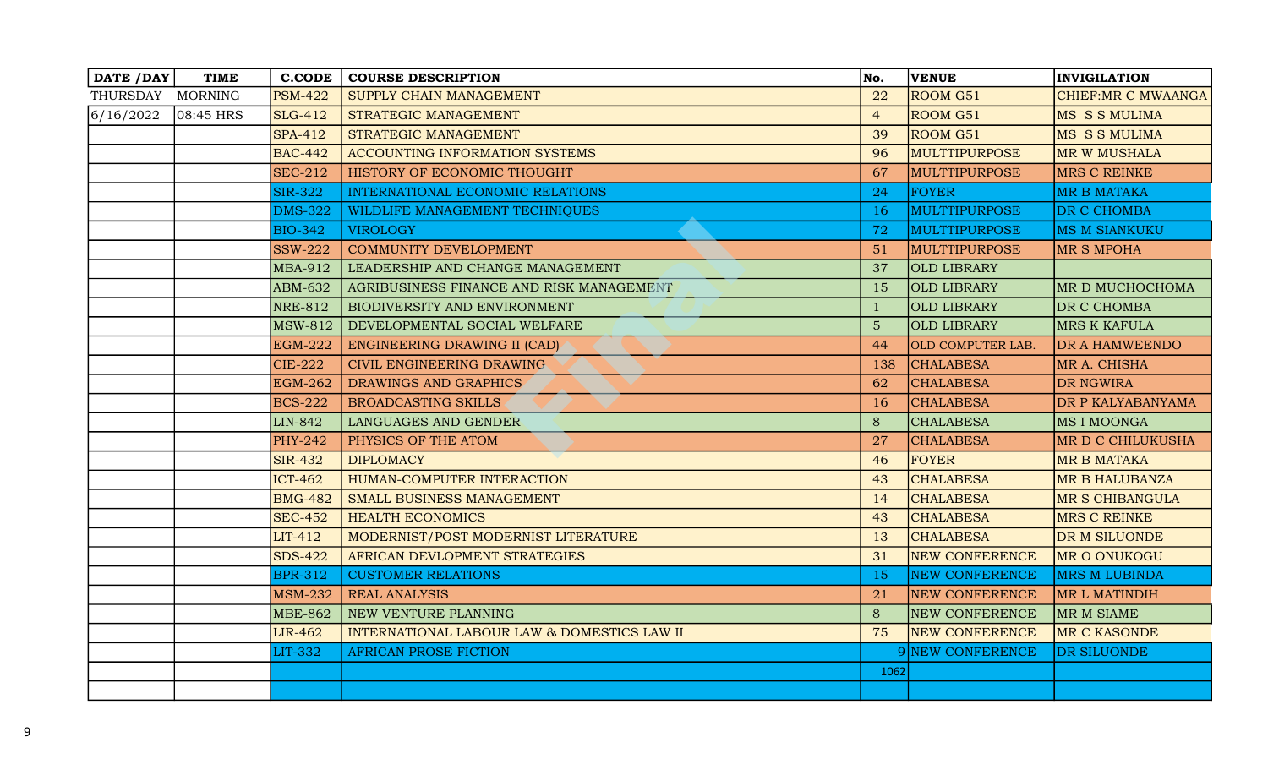| DATE / DAY       | <b>TIME</b>  | <b>C.CODE</b>  | <b>COURSE DESCRIPTION</b>                   | No.            | <b>VENUE</b>             | <b>INVIGILATION</b>  |
|------------------|--------------|----------------|---------------------------------------------|----------------|--------------------------|----------------------|
| THURSDAY MORNING |              | <b>PSM-422</b> | SUPPLY CHAIN MANAGEMENT                     | 22             | ROOM G51                 | CHIEF: MR C MWAANGA  |
| 6/16/2022        | $ 08:45$ HRS | <b>SLG-412</b> | STRATEGIC MANAGEMENT                        | $\overline{4}$ | ROOM G51                 | <b>MS S S MULIMA</b> |
|                  |              | <b>SPA-412</b> | STRATEGIC MANAGEMENT                        | 39             | <b>ROOM G51</b>          | MS S S MULIMA        |
|                  |              | <b>BAC-442</b> | <b>ACCOUNTING INFORMATION SYSTEMS</b>       | 96             | MULTTIPURPOSE            | <b>MR W MUSHALA</b>  |
|                  |              | <b>SEC-212</b> | HISTORY OF ECONOMIC THOUGHT                 | 67             | MULTTIPURPOSE            | MRS C REINKE         |
|                  |              | <b>SIR-322</b> | INTERNATIONAL ECONOMIC RELATIONS            | 24             | <b>FOYER</b>             | <b>MR B MATAKA</b>   |
|                  |              | <b>DMS-322</b> | WILDLIFE MANAGEMENT TECHNIQUES              | -16            | <b>MULTTIPURPOSE</b>     | DR C CHOMBA          |
|                  |              | <b>BIO-342</b> | <b>VIROLOGY</b>                             | 72             | MULTTIPURPOSE            | <b>MS M SIANKUKU</b> |
|                  |              | <b>SSW-222</b> | COMMUNITY DEVELOPMENT                       | 51             | MULTTIPURPOSE            | <b>MR S MPOHA</b>    |
|                  |              | MBA-912        | LEADERSHIP AND CHANGE MANAGEMENT            | 37             | <b>OLD LIBRARY</b>       |                      |
|                  |              | ABM-632        | AGRIBUSINESS FINANCE AND RISK MANAGEMENT    | 15             | <b>OLD LIBRARY</b>       | MR D MUCHOCHOMA      |
|                  |              | <b>NRE-812</b> | BIODIVERSITY AND ENVIRONMENT                | $\mathbf{1}$   | <b>OLD LIBRARY</b>       | DR C CHOMBA          |
|                  |              | <b>MSW-812</b> | DEVELOPMENTAL SOCIAL WELFARE                | $5\phantom{.}$ | <b>OLD LIBRARY</b>       | <b>MRS K KAFULA</b>  |
|                  |              | <b>EGM-222</b> | ENGINEERING DRAWING II (CAD)                | 44             | <b>OLD COMPUTER LAB.</b> | DR A HAMWEENDO       |
|                  |              | <b>CIE-222</b> | CIVIL ENGINEERING DRAWING                   | 138            | <b>CHALABESA</b>         | MR A. CHISHA         |
|                  |              | <b>EGM-262</b> | DRAWINGS AND GRAPHICS                       | 62             | <b>CHALABESA</b>         | <b>DR NGWIRA</b>     |
|                  |              | <b>BCS-222</b> | <b>BROADCASTING SKILLS</b>                  | <b>16</b>      | <b>CHALABESA</b>         | DR P KALYABANYAMA    |
|                  |              | LIN-842        | LANGUAGES AND GENDER                        | 8              | <b>CHALABESA</b>         | MS I MOONGA          |
|                  |              | <b>PHY-242</b> | PHYSICS OF THE ATOM                         | 27             | <b>CHALABESA</b>         | MR D C CHILUKUSHA    |
|                  |              | <b>SIR-432</b> | <b>DIPLOMACY</b>                            | 46             | FOYER                    | <b>MR B MATAKA</b>   |
|                  |              | <b>ICT-462</b> | HUMAN-COMPUTER INTERACTION                  | 43             | <b>CHALABESA</b>         | MR B HALUBANZA       |
|                  |              | <b>BMG-482</b> | SMALL BUSINESS MANAGEMENT                   | 14             | <b>CHALABESA</b>         | MR S CHIBANGULA      |
|                  |              | <b>SEC-452</b> | <b>HEALTH ECONOMICS</b>                     | 43             | <b>CHALABESA</b>         | <b>MRS C REINKE</b>  |
|                  |              | $LIT-412$      | MODERNIST/POST MODERNIST LITERATURE         | 13             | <b>CHALABESA</b>         | DR M SILUONDE        |
|                  |              | <b>SDS-422</b> | AFRICAN DEVLOPMENT STRATEGIES               | 31             | <b>NEW CONFERENCE</b>    | MR O ONUKOGU         |
|                  |              | <b>BPR-312</b> | <b>CUSTOMER RELATIONS</b>                   | -15            | <b>NEW CONFERENCE</b>    | <b>MRS M LUBINDA</b> |
|                  |              | <b>MSM-232</b> | <b>REAL ANALYSIS</b>                        | 21             | <b>NEW CONFERENCE</b>    | MR L MATINDIH        |
|                  |              | <b>MBE-862</b> | NEW VENTURE PLANNING                        | 8              | <b>NEW CONFERENCE</b>    | MR M SIAME           |
|                  |              | <b>LIR-462</b> | INTERNATIONAL LABOUR LAW & DOMESTICS LAW II | 75             | <b>NEW CONFERENCE</b>    | MR C KASONDE         |
|                  |              | LIT-332        | <b>AFRICAN PROSE FICTION</b>                |                | 9 NEW CONFERENCE         | DR SILUONDE          |
|                  |              |                |                                             | 1062           |                          |                      |
|                  |              |                |                                             |                |                          |                      |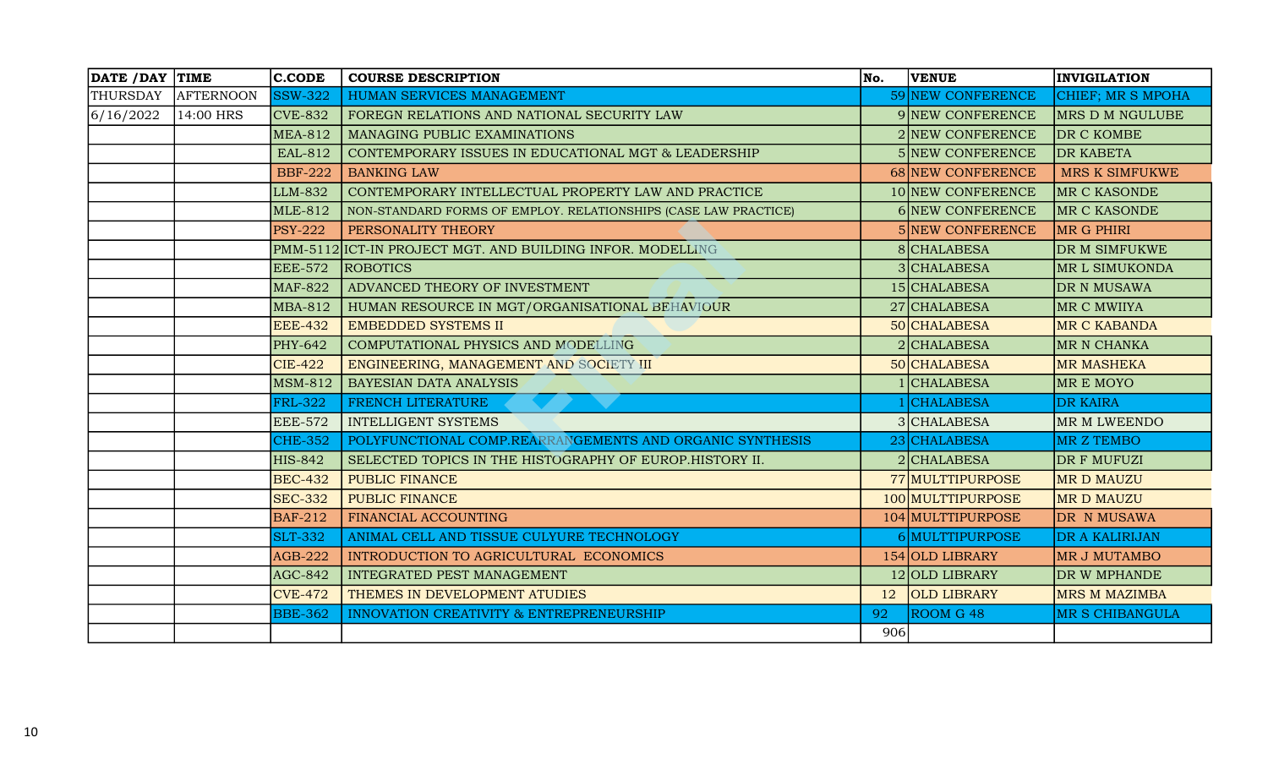| DATE / DAY TIME |                  | <b>C.CODE</b>  | <b>COURSE DESCRIPTION</b>                                       | No. | <b>VENUE</b>       | <b>INVIGILATION</b>    |
|-----------------|------------------|----------------|-----------------------------------------------------------------|-----|--------------------|------------------------|
| THURSDAY        | <b>AFTERNOON</b> | <b>SSW-322</b> | HUMAN SERVICES MANAGEMENT                                       |     | 59 NEW CONFERENCE  | CHIEF; MR S MPOHA      |
| 6/16/2022       | 14:00 HRS        | <b>CVE-832</b> | FOREGN RELATIONS AND NATIONAL SECURITY LAW                      |     | 9 NEW CONFERENCE   | MRS D M NGULUBE        |
|                 |                  | <b>MEA-812</b> | MANAGING PUBLIC EXAMINATIONS                                    |     | 2 NEW CONFERENCE   | DR C KOMBE             |
|                 |                  | EAL-812        | CONTEMPORARY ISSUES IN EDUCATIONAL MGT & LEADERSHIP             |     | 5 NEW CONFERENCE   | <b>DR KABETA</b>       |
|                 |                  | <b>BBF-222</b> | <b>BANKING LAW</b>                                              |     | 68 NEW CONFERENCE  | MRS K SIMFUKWE         |
|                 |                  | LLM-832        | CONTEMPORARY INTELLECTUAL PROPERTY LAW AND PRACTICE             |     | 10 NEW CONFERENCE  | <b>MR C KASONDE</b>    |
|                 |                  | <b>MLE-812</b> | NON-STANDARD FORMS OF EMPLOY. RELATIONSHIPS (CASE LAW PRACTICE) |     | 6 NEW CONFERENCE   | MR C KASONDE           |
|                 |                  | <b>PSY-222</b> | PERSONALITY THEORY                                              |     | 5 NEW CONFERENCE   | MR G PHIRI             |
|                 |                  |                | PMM-5112 ICT-IN PROJECT MGT. AND BUILDING INFOR. MODELLING      |     | 8 CHALABESA        | DR M SIMFUKWE          |
|                 |                  | <b>EEE-572</b> | <b>ROBOTICS</b>                                                 |     | 3 CHALABESA        | MR L SIMUKONDA         |
|                 |                  | <b>MAF-822</b> | ADVANCED THEORY OF INVESTMENT                                   |     | 15 CHALABESA       | DR N MUSAWA            |
|                 |                  | <b>MBA-812</b> | HUMAN RESOURCE IN MGT/ORGANISATIONAL BEHAVIOUR                  |     | 27 CHALABESA       | MR C MWIIYA            |
|                 |                  | <b>EEE-432</b> | <b>EMBEDDED SYSTEMS II</b>                                      |     | 50 CHALABESA       | MR C KABANDA           |
|                 |                  | PHY-642        | COMPUTATIONAL PHYSICS AND MODELLING                             |     | 2 CHALABESA        | MR N CHANKA            |
|                 |                  | <b>CIE-422</b> | ENGINEERING, MANAGEMENT AND SOCIETY III                         |     | 50 CHALABESA       | <b>MR MASHEKA</b>      |
|                 |                  | <b>MSM-812</b> | BAYESIAN DATA ANALYSIS                                          |     | 1 CHALABESA        | <b>MREMOYO</b>         |
|                 |                  | <b>FRL-322</b> | FRENCH LITERATURE                                               |     | <b>CHALABESA</b>   | <b>DR KAIRA</b>        |
|                 |                  | <b>EEE-572</b> | <b>INTELLIGENT SYSTEMS</b>                                      |     | 3 CHALABESA        | MR M LWEENDO           |
|                 |                  | <b>CHE-352</b> | POLYFUNCTIONAL COMP.REARRANGEMENTS AND ORGANIC SYNTHESIS        |     | 23 CHALABESA       | MR Z TEMBO             |
|                 |                  | <b>HIS-842</b> | SELECTED TOPICS IN THE HISTOGRAPHY OF EUROP. HISTORY II.        |     | $2$ CHALABESA      | DR F MUFUZI            |
|                 |                  | <b>BEC-432</b> | PUBLIC FINANCE                                                  |     | 77 MULTTIPURPOSE   | <b>MRD MAUZU</b>       |
|                 |                  | <b>SEC-332</b> | PUBLIC FINANCE                                                  |     | 100 MULTTIPURPOSE  | <b>MRD MAUZU</b>       |
|                 |                  | <b>BAF-212</b> | FINANCIAL ACCOUNTING                                            |     | 104 MULTTIPURPOSE  | DR N MUSAWA            |
|                 |                  | <b>SLT-332</b> | ANIMAL CELL AND TISSUE CULYURE TECHNOLOGY                       |     | 6 MULTTIPURPOSE    | DR A KALIRIJAN         |
|                 |                  | <b>AGB-222</b> | INTRODUCTION TO AGRICULTURAL ECONOMICS                          |     | 154 OLD LIBRARY    | <b>MR J MUTAMBO</b>    |
|                 |                  | <b>AGC-842</b> | INTEGRATED PEST MANAGEMENT                                      |     | 12 OLD LIBRARY     | DR W MPHANDE           |
|                 |                  | <b>CVE-472</b> | THEMES IN DEVELOPMENT ATUDIES                                   | 12  | <b>OLD LIBRARY</b> | <b>MRS M MAZIMBA</b>   |
|                 |                  | <b>BBE-362</b> | <b>INNOVATION CREATIVITY &amp; ENTREPRENEURSHIP</b>             | 92  | ROOM G 48          | <b>MR S CHIBANGULA</b> |
|                 |                  |                |                                                                 | 906 |                    |                        |
|                 |                  |                |                                                                 |     |                    |                        |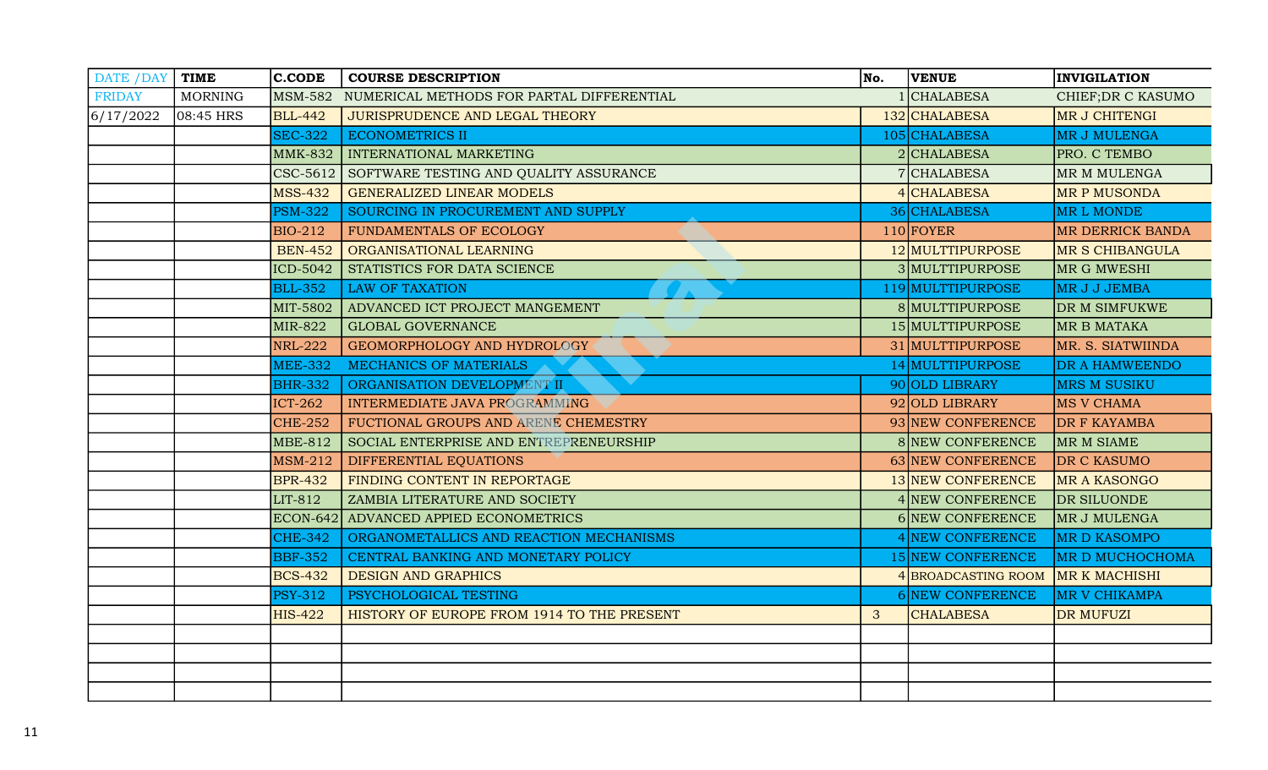| DATE / DAY   TIME |                | $ $ C.CODE      | <b>COURSE DESCRIPTION</b>                         | No. | <b>VENUE</b>            | <b>INVIGILATION</b>     |
|-------------------|----------------|-----------------|---------------------------------------------------|-----|-------------------------|-------------------------|
| <b>FRIDAY</b>     | <b>MORNING</b> |                 | MSM-582 NUMERICAL METHODS FOR PARTAL DIFFERENTIAL |     | <b>CHALABESA</b>        | CHIEF; DR C KASUMO      |
| 6/17/2022         | $ 08:45$ HRS   | <b>BLL-442</b>  | JURISPRUDENCE AND LEGAL THEORY                    |     | 132 CHALABESA           | MR J CHITENGI           |
|                   |                | <b>SEC-322</b>  | <b>ECONOMETRICS II</b>                            |     | 105 CHALABESA           | <b>MR J MULENGA</b>     |
|                   |                | <b>MMK-832</b>  | INTERNATIONAL MARKETING                           |     | 2 CHALABESA             | PRO. C TEMBO            |
|                   |                |                 | CSC-5612 SOFTWARE TESTING AND QUALITY ASSURANCE   |     | 7 CHALABESA             | MR M MULENGA            |
|                   |                | <b>MSS-432</b>  | <b>GENERALIZED LINEAR MODELS</b>                  |     | <b>CHALABESA</b>        | <b>MR P MUSONDA</b>     |
|                   |                | <b>PSM-322</b>  | SOURCING IN PROCUREMENT AND SUPPLY                |     | 36 CHALABESA            | MR L MONDE              |
|                   |                | <b>BIO-212</b>  | FUNDAMENTALS OF ECOLOGY                           |     | $110$ FOYER             | <b>MR DERRICK BANDA</b> |
|                   |                | <b>BEN-452</b>  | ORGANISATIONAL LEARNING                           |     | 12 MULTTIPURPOSE        | <b>MR S CHIBANGULA</b>  |
|                   |                | ICD-5042        | STATISTICS FOR DATA SCIENCE                       |     | 3 MULTTIPURPOSE         | MR G MWESHI             |
|                   |                | <b>BLL-352</b>  | <b>LAW OF TAXATION</b>                            |     | 119 MULTTIPURPOSE       | MR J J JEMBA            |
|                   |                | MIT-5802        | ADVANCED ICT PROJECT MANGEMENT                    |     | 8 MULTTIPURPOSE         | DR M SIMFUKWE           |
|                   |                | <b>MIR-822</b>  | <b>GLOBAL GOVERNANCE</b>                          |     | 15 MULTTIPURPOSE        | <b>MR B MATAKA</b>      |
|                   |                | <b>NRL-222</b>  | GEOMORPHOLOGY AND HYDROLOGY                       |     | 31 MULTTIPURPOSE        | MR. S. SIATWIINDA       |
|                   |                | <b>MEE-332</b>  | MECHANICS OF MATERIALS                            |     | 14 MULTTIPURPOSE        | DR A HAMWEENDO          |
|                   |                | <b>BHR-332</b>  | ORGANISATION DEVELOPMENT II                       |     | 90 OLD LIBRARY          | <b>MRS M SUSIKU</b>     |
|                   |                | <b>ICT-262</b>  | INTERMEDIATE JAVA PROGRAMMING                     |     | 92 OLD LIBRARY          | <b>MS V CHAMA</b>       |
|                   |                | <b>CHE-252</b>  | FUCTIONAL GROUPS AND ARENE CHEMESTRY              |     | 93 NEW CONFERENCE       | <b>DR F KAYAMBA</b>     |
|                   |                | <b>MBE-812</b>  | SOCIAL ENTERPRISE AND ENTREPRENEURSHIP            |     | 8 NEW CONFERENCE        | MR M SIAME              |
|                   |                | <b>MSM-212</b>  | DIFFERENTIAL EQUATIONS                            |     | 63 NEW CONFERENCE       | DR C KASUMO             |
|                   |                | <b>BPR-432</b>  | FINDING CONTENT IN REPORTAGE                      |     | 13 NEW CONFERENCE       | <b>MR A KASONGO</b>     |
|                   |                | LIT-812         | ZAMBIA LITERATURE AND SOCIETY                     |     | 4 NEW CONFERENCE        | DR SILUONDE             |
|                   |                | <b>ECON-642</b> | ADVANCED APPIED ECONOMETRICS                      |     | <b>6 NEW CONFERENCE</b> | MR J MULENGA            |
|                   |                | <b>CHE-342</b>  | ORGANOMETALLICS AND REACTION MECHANISMS           |     | 4 NEW CONFERENCE        | <b>MR D KASOMPO</b>     |
|                   |                | <b>BBF-352</b>  | CENTRAL BANKING AND MONETARY POLICY               |     | 15 NEW CONFERENCE       | MR D MUCHOCHOMA         |
|                   |                | <b>BCS-432</b>  | <b>DESIGN AND GRAPHICS</b>                        |     | 4 BROADCASTING ROOM     | MR K MACHISHI           |
|                   |                | <b>PSY-312</b>  | PSYCHOLOGICAL TESTING                             |     | <b>6 NEW CONFERENCE</b> | MR V CHIKAMPA           |
|                   |                | <b>HIS-422</b>  | HISTORY OF EUROPE FROM 1914 TO THE PRESENT        | 3   | <b>CHALABESA</b>        | <b>DR MUFUZI</b>        |
|                   |                |                 |                                                   |     |                         |                         |
|                   |                |                 |                                                   |     |                         |                         |
|                   |                |                 |                                                   |     |                         |                         |
|                   |                |                 |                                                   |     |                         |                         |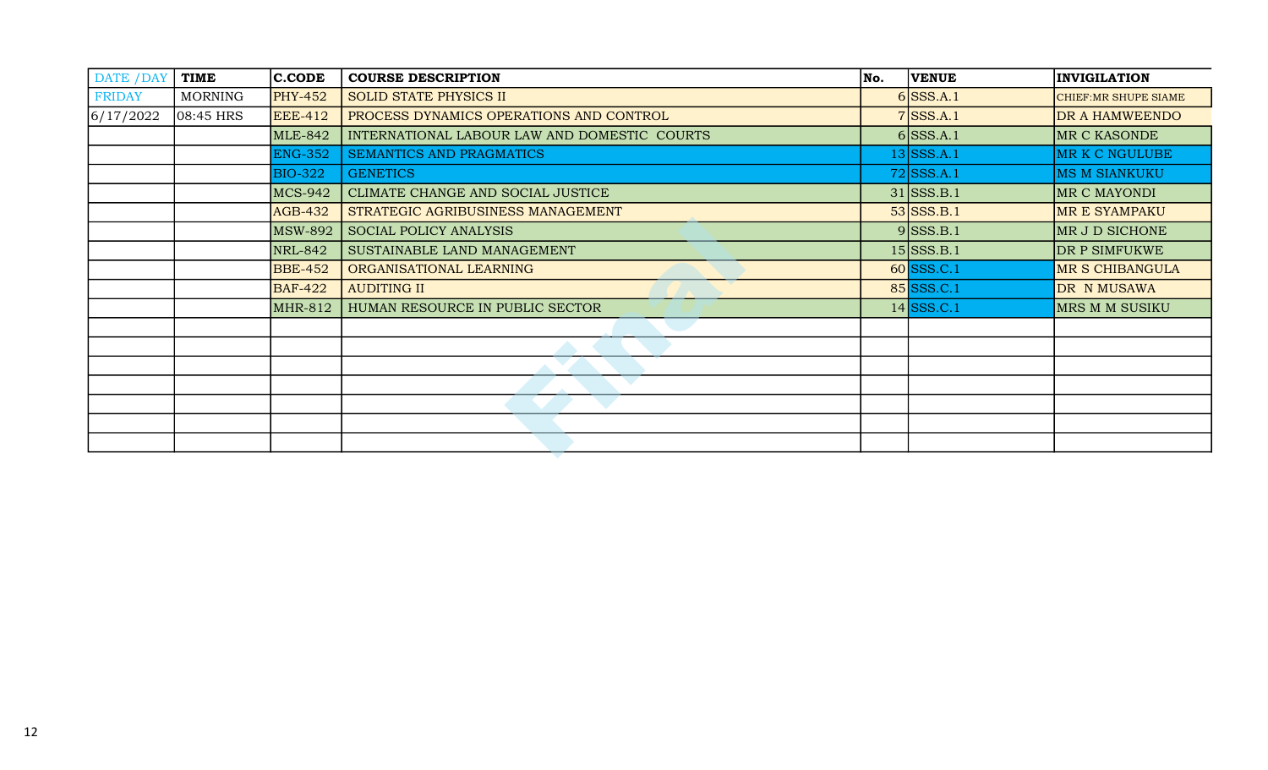| <b>FRIDAY</b><br>6/17/2022 |                | $ $ C.CODE     | <b>COURSE DESCRIPTION</b>                    | No. | <b>VENUE</b> | <b>INVIGILATION</b>    |
|----------------------------|----------------|----------------|----------------------------------------------|-----|--------------|------------------------|
|                            | <b>MORNING</b> | <b>PHY-452</b> | <b>SOLID STATE PHYSICS II</b>                |     | $6$ SSS.A.1  | CHIEF: MR SHUPE SIAME  |
|                            | $ 08:45$ HRS   | <b>EEE-412</b> | PROCESS DYNAMICS OPERATIONS AND CONTROL      |     | $7$ SSS.A.1  | DR A HAMWEENDO         |
|                            |                | <b>MLE-842</b> | INTERNATIONAL LABOUR LAW AND DOMESTIC COURTS |     | $6$ SSS.A.1  | MR C KASONDE           |
|                            |                | <b>ENG-352</b> | SEMANTICS AND PRAGMATICS                     |     | $13$ SSS.A.1 | MR K C NGULUBE         |
|                            |                | <b>BIO-322</b> | <b>GENETICS</b>                              |     | $72$ SSS.A.1 | <b>MS M SIANKUKU</b>   |
|                            |                | <b>MCS-942</b> | CLIMATE CHANGE AND SOCIAL JUSTICE            |     | $31$ SSS.B.1 | MR C MAYONDI           |
|                            |                | <b>AGB-432</b> | STRATEGIC AGRIBUSINESS MANAGEMENT            |     | $53$ SSS.B.1 | MR E SYAMPAKU          |
|                            |                | <b>MSW-892</b> | <b>SOCIAL POLICY ANALYSIS</b>                |     | $9$ SSS.B.1  | MR J D SICHONE         |
|                            |                | NRL-842        | SUSTAINABLE LAND MANAGEMENT                  |     | $15$ SSS.B.1 | DR P SIMFUKWE          |
|                            |                | <b>BBE-452</b> | ORGANISATIONAL LEARNING                      |     | $60$ SSS.C.1 | <b>MR S CHIBANGULA</b> |
|                            |                | <b>BAF-422</b> | <b>AUDITING II</b>                           |     | 85 SSS.C.1   | DR N MUSAWA            |
|                            |                | <b>MHR-812</b> | HUMAN RESOURCE IN PUBLIC SECTOR              |     | $14$ SSS.C.1 | MRS M M SUSIKU         |
|                            |                |                |                                              |     |              |                        |
|                            |                |                |                                              |     |              |                        |
|                            |                |                |                                              |     |              |                        |
|                            |                |                |                                              |     |              |                        |
|                            |                |                |                                              |     |              |                        |
|                            |                |                |                                              |     |              |                        |
|                            |                |                |                                              |     |              |                        |
|                            |                |                |                                              |     |              |                        |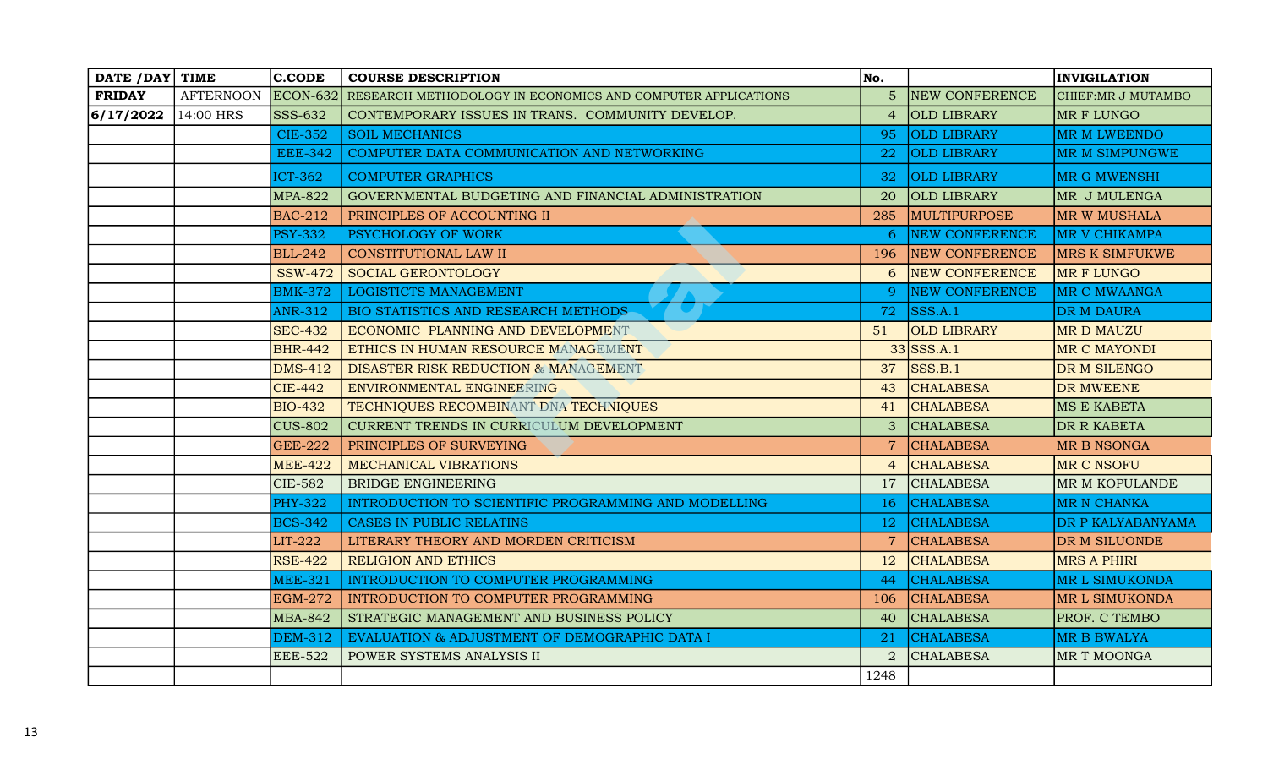| DATE / DAY   TIME |                  | <b>C.CODE</b>   | <b>COURSE DESCRIPTION</b>                                   | No.             |                       | <b>INVIGILATION</b>   |
|-------------------|------------------|-----------------|-------------------------------------------------------------|-----------------|-----------------------|-----------------------|
| <b>FRIDAY</b>     | <b>AFTERNOON</b> | <b>ECON-632</b> | RESEARCH METHODOLOGY IN ECONOMICS AND COMPUTER APPLICATIONS | $5\overline{)}$ | <b>NEW CONFERENCE</b> | CHIEF: MR J MUTAMBO   |
| 6/17/2022         | 14:00 HRS        | SSS-632         | CONTEMPORARY ISSUES IN TRANS. COMMUNITY DEVELOP.            | $\overline{4}$  | <b>OLD LIBRARY</b>    | MR F LUNGO            |
|                   |                  | <b>CIE-352</b>  | <b>SOIL MECHANICS</b>                                       | 95              | <b>OLD LIBRARY</b>    | <b>MR M LWEENDO</b>   |
|                   |                  | <b>EEE-342</b>  | COMPUTER DATA COMMUNICATION AND NETWORKING                  | 22              | <b>OLD LIBRARY</b>    | MR M SIMPUNGWE        |
|                   |                  | <b>ICT-362</b>  | <b>COMPUTER GRAPHICS</b>                                    | 32              | <b>OLD LIBRARY</b>    | MR G MWENSHI          |
|                   |                  | <b>MPA-822</b>  | GOVERNMENTAL BUDGETING AND FINANCIAL ADMINISTRATION         | 20              | <b>OLD LIBRARY</b>    | MR J MULENGA          |
|                   |                  | <b>BAC-212</b>  | PRINCIPLES OF ACCOUNTING II                                 | 285             | <b>MULTIPURPOSE</b>   | MR W MUSHALA          |
|                   |                  | <b>PSY-332</b>  | PSYCHOLOGY OF WORK                                          | 6               | <b>NEW CONFERENCE</b> | <b>MR V CHIKAMPA</b>  |
|                   |                  | <b>BLL-242</b>  | CONSTITUTIONAL LAW II                                       | 196             | <b>NEW CONFERENCE</b> | <b>MRS K SIMFUKWE</b> |
|                   |                  | <b>SSW-472</b>  | <b>SOCIAL GERONTOLOGY</b>                                   | 6               | <b>NEW CONFERENCE</b> | MR F LUNGO            |
|                   |                  | <b>BMK-372</b>  | LOGISTICTS MANAGEMENT                                       | <sup>9</sup>    | <b>NEW CONFERENCE</b> | <b>MR C MWAANGA</b>   |
|                   |                  | <b>ANR-312</b>  | BIO STATISTICS AND RESEARCH METHODS                         | 72              | SSS.A.1               | <b>DR M DAURA</b>     |
|                   |                  | <b>SEC-432</b>  | e e co<br>ECONOMIC PLANNING AND DEVELOPMENT                 | 51              | <b>OLD LIBRARY</b>    | MR D MAUZU            |
|                   |                  | <b>BHR-442</b>  | ETHICS IN HUMAN RESOURCE MANAGEMENT                         |                 | $33$ SSS.A.1          | MR C MAYONDI          |
|                   |                  | <b>DMS-412</b>  | <b>DISASTER RISK REDUCTION &amp; MANAGEMENT</b>             | 37              | SSS.B.1               | DR M SILENGO          |
|                   |                  | <b>CIE-442</b>  | ENVIRONMENTAL ENGINEERING                                   | 43              | <b>CHALABESA</b>      | <b>DR MWEENE</b>      |
|                   |                  | <b>BIO-432</b>  | TECHNIQUES RECOMBINANT DNA TECHNIQUES                       | 41              | <b>CHALABESA</b>      | <b>MS E KABETA</b>    |
|                   |                  | <b>CUS-802</b>  | CURRENT TRENDS IN CURRICULUM DEVELOPMENT                    | 3               | <b>CHALABESA</b>      | DR R KABETA           |
|                   |                  | <b>GEE-222</b>  | PRINCIPLES OF SURVEYING                                     | $\overline{7}$  | <b>CHALABESA</b>      | <b>MR B NSONGA</b>    |
|                   |                  | <b>MEE-422</b>  | MECHANICAL VIBRATIONS                                       | $\overline{4}$  | <b>CHALABESA</b>      | MR C NSOFU            |
|                   |                  | <b>CIE-582</b>  | <b>BRIDGE ENGINEERING</b>                                   | 17              | <b>CHALABESA</b>      | MR M KOPULANDE        |
|                   |                  | <b>PHY-322</b>  | INTRODUCTION TO SCIENTIFIC PROGRAMMING AND MODELLING        | 16              | <b>CHALABESA</b>      | <b>MR N CHANKA</b>    |
|                   |                  | <b>BCS-342</b>  | CASES IN PUBLIC RELATINS                                    | <sup>12</sup>   | <b>CHALABESA</b>      | DR P KALYABANYAMA     |
|                   |                  | LIT-222         | LITERARY THEORY AND MORDEN CRITICISM                        | $\overline{7}$  | <b>CHALABESA</b>      | DR M SILUONDE         |
|                   |                  | <b>RSE-422</b>  | <b>RELIGION AND ETHICS</b>                                  | 12              | <b>CHALABESA</b>      | MRS A PHIRI           |
|                   |                  | <b>MEE-321</b>  | INTRODUCTION TO COMPUTER PROGRAMMING                        | 44              | <b>CHALABESA</b>      | <b>MR L SIMUKONDA</b> |
|                   |                  | <b>EGM-272</b>  | INTRODUCTION TO COMPUTER PROGRAMMING                        | 106             | <b>CHALABESA</b>      | <b>MR L SIMUKONDA</b> |
|                   |                  | <b>MBA-842</b>  | STRATEGIC MANAGEMENT AND BUSINESS POLICY                    | 40              | <b>CHALABESA</b>      | PROF. C TEMBO         |
|                   |                  | $DEM-312$       | EVALUATION & ADJUSTMENT OF DEMOGRAPHIC DATA I               |                 | <b>CHALABESA</b>      | <b>MR B BWALYA</b>    |
|                   |                  | <b>EEE-522</b>  | POWER SYSTEMS ANALYSIS II                                   | $\overline{2}$  | <b>CHALABESA</b>      | MR T MOONGA           |
|                   |                  |                 |                                                             | 1248            |                       |                       |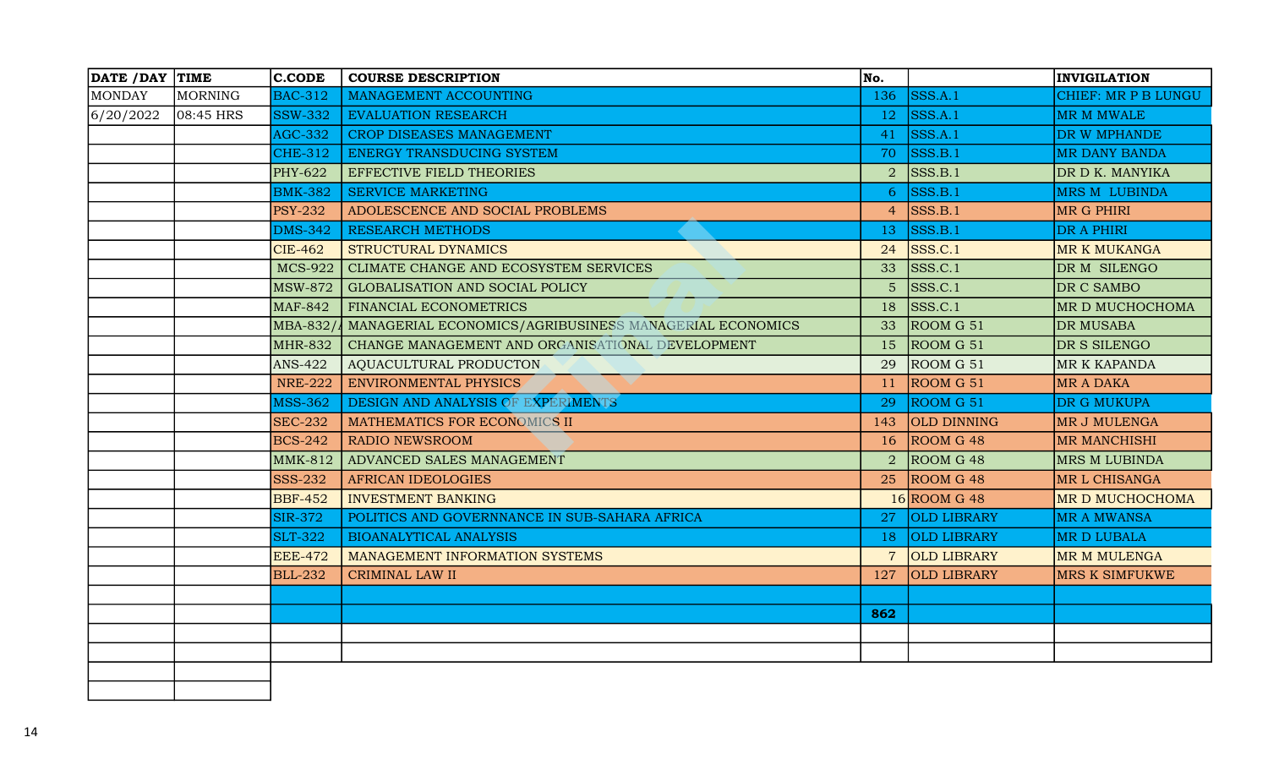| DATE / DAY TIME |           | <b>C.CODE</b>  | <b>COURSE DESCRIPTION</b>                                        | No.            |                    | <b>INVIGILATION</b>  |
|-----------------|-----------|----------------|------------------------------------------------------------------|----------------|--------------------|----------------------|
| <b>MONDAY</b>   | MORNING   | <b>BAC-312</b> | MANAGEMENT ACCOUNTING                                            | 136            | SSS.A.1            | CHIEF: MR P B LUNGU  |
| 6/20/2022       | 08:45 HRS | <b>SSW-332</b> | <b>EVALUATION RESEARCH</b>                                       | 12             | SSS.A.1            | MR M MWALE           |
|                 |           | <b>AGC-332</b> | CROP DISEASES MANAGEMENT                                         | 41             | SSS.A.1            | DR W MPHANDE         |
|                 |           | <b>CHE-312</b> | ENERGY TRANSDUCING SYSTEM                                        | 70             | SSS.B.1            | <b>MR DANY BANDA</b> |
|                 |           | <b>PHY-622</b> | <b>EFFECTIVE FIELD THEORIES</b>                                  | $\overline{2}$ | SSS.B.1            | DR D K. MANYIKA      |
|                 |           | <b>BMK-382</b> | <b>SERVICE MARKETING</b>                                         | 6              | SSS.B.1            | <b>MRS M LUBINDA</b> |
|                 |           | <b>PSY-232</b> | ADOLESCENCE AND SOCIAL PROBLEMS                                  | $\overline{4}$ | SSS.B.1            | <b>MR G PHIRI</b>    |
|                 |           | <b>DMS-342</b> | <b>RESEARCH METHODS</b>                                          | 13             | SSS.B.1            | DR A PHIRI           |
|                 |           | <b>CIE-462</b> | <b>STRUCTURAL DYNAMICS</b>                                       | 24             | SSS.C.1            | <b>MR K MUKANGA</b>  |
|                 |           | <b>MCS-922</b> | CLIMATE CHANGE AND ECOSYSTEM SERVICES                            | 33             | SSS.C.1            | DR M SILENGO         |
|                 |           | <b>MSW-872</b> | GLOBALISATION AND SOCIAL POLICY                                  | $5\phantom{.}$ | SSS.C.1            | DR C SAMBO           |
|                 |           | <b>MAF-842</b> | FINANCIAL ECONOMETRICS                                           | 18             | SSS.C.1            | MR D MUCHOCHOMA      |
|                 |           |                | MBA-832/4 MANAGERIAL ECONOMICS/AGRIBUSINESS MANAGERIAL ECONOMICS | 33             | ROOM G 51          | <b>DR MUSABA</b>     |
|                 |           | <b>MHR-832</b> | CHANGE MANAGEMENT AND ORGANISATIONAL DEVELOPMENT                 | 15             | ROOM G 51          | DR S SILENGO         |
|                 |           | <b>ANS-422</b> | AQUACULTURAL PRODUCTON                                           | 29             | ROOM G 51          | <b>MR K KAPANDA</b>  |
|                 |           | <b>NRE-222</b> | <b>ENVIRONMENTAL PHYSICS</b>                                     | 11             | ROOM G 51          | <b>MR A DAKA</b>     |
|                 |           | <b>MSS-362</b> | DESIGN AND ANALYSIS OF EXPERIMENTS                               | 29             | ROOM G 51          | <b>DR G MUKUPA</b>   |
|                 |           | <b>SEC-232</b> | MATHEMATICS FOR ECONOMICS II                                     | 143            | OLD DINNING        | <b>MR J MULENGA</b>  |
|                 |           | <b>BCS-242</b> | <b>RADIO NEWSROOM</b>                                            | 16             | ROOM G 48          | <b>MR MANCHISHI</b>  |
|                 |           | <b>MMK-812</b> | ADVANCED SALES MANAGEMENT                                        | 2              | ROOM G 48          | <b>MRS M LUBINDA</b> |
|                 |           | <b>SSS-232</b> | <b>AFRICAN IDEOLOGIES</b>                                        | 25             | ROOM G 48          | MR L CHISANGA        |
|                 |           | <b>BBF-452</b> | <b>INVESTMENT BANKING</b>                                        |                | $16$ ROOM G 48     | MR D MUCHOCHOMA      |
|                 |           | <b>SIR-372</b> | POLITICS AND GOVERNNANCE IN SUB-SAHARA AFRICA                    | 27             | OLD LIBRARY        | <b>MR A MWANSA</b>   |
|                 |           | <b>SLT-322</b> | <b>BIOANALYTICAL ANALYSIS</b>                                    | 18             | <b>OLD LIBRARY</b> | MR D LUBALA          |
|                 |           | <b>EEE-472</b> | MANAGEMENT INFORMATION SYSTEMS                                   | $\overline{7}$ | OLD LIBRARY        | MR M MULENGA         |
|                 |           | <b>BLL-232</b> | <b>CRIMINAL LAW II</b>                                           | 127            | <b>OLD LIBRARY</b> | MRS K SIMFUKWE       |
|                 |           |                |                                                                  |                |                    |                      |
|                 |           |                |                                                                  | 862            |                    |                      |
|                 |           |                |                                                                  |                |                    |                      |
|                 |           |                |                                                                  |                |                    |                      |
|                 |           |                |                                                                  |                |                    |                      |
|                 |           |                |                                                                  |                |                    |                      |
|                 |           |                |                                                                  |                |                    |                      |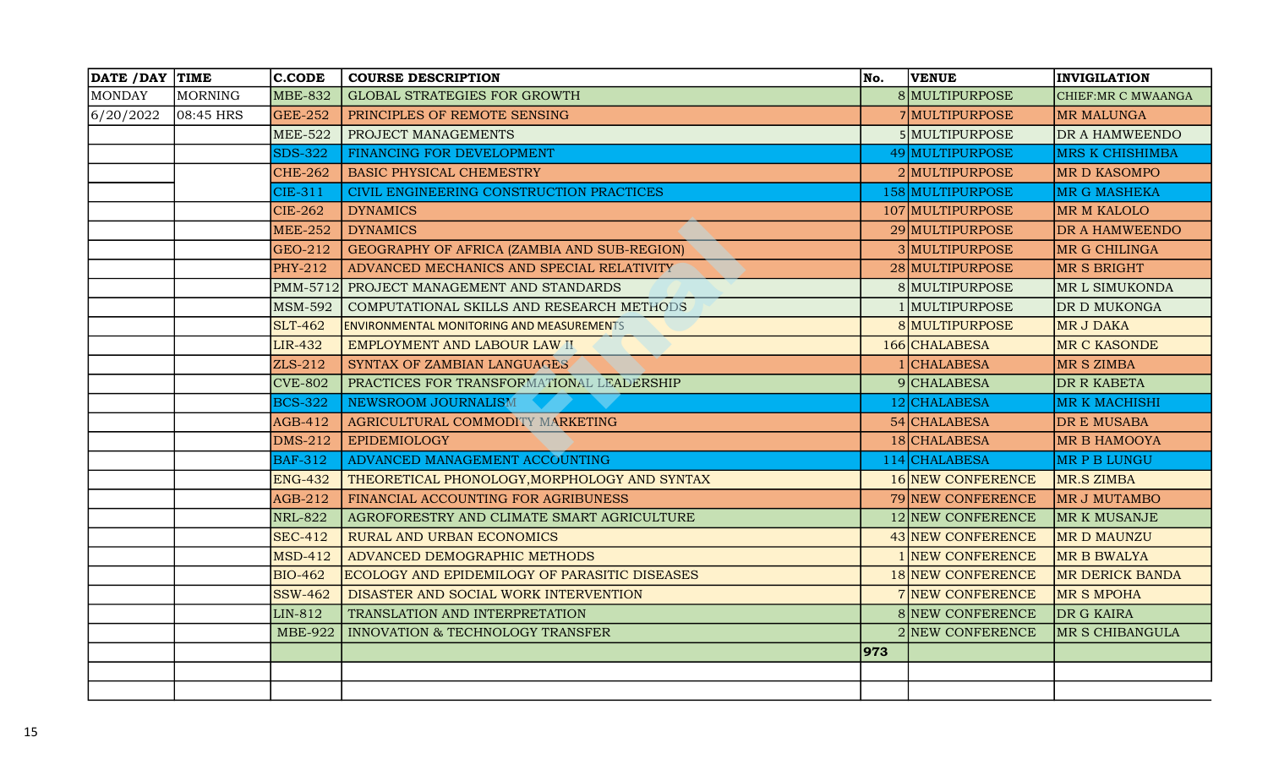| DATE /DAY TIME |           | <b>C.CODE</b>  | <b>COURSE DESCRIPTION</b>                            | No. | <b>VENUE</b>      | <b>INVIGILATION</b>    |
|----------------|-----------|----------------|------------------------------------------------------|-----|-------------------|------------------------|
| <b>MONDAY</b>  | MORNING   | <b>MBE-832</b> | <b>GLOBAL STRATEGIES FOR GROWTH</b>                  |     | 8 MULTIPURPOSE    | CHIEF: MR C MWAANGA    |
| 6/20/2022      | 08:45 HRS | <b>GEE-252</b> | PRINCIPLES OF REMOTE SENSING                         |     | 7 MULTIPURPOSE    | <b>MR MALUNGA</b>      |
|                |           | <b>MEE-522</b> | PROJECT MANAGEMENTS                                  |     | 5 MULTIPURPOSE    | DR A HAMWEENDO         |
|                |           | <b>SDS-322</b> | FINANCING FOR DEVELOPMENT                            |     | 49 MULTIPURPOSE   | <b>MRS K CHISHIMBA</b> |
|                |           | <b>CHE-262</b> | <b>BASIC PHYSICAL CHEMESTRY</b>                      |     | 2 MULTIPURPOSE    | <b>MR D KASOMPO</b>    |
|                |           | <b>CIE-311</b> | CIVIL ENGINEERING CONSTRUCTION PRACTICES             |     | 158 MULTIPURPOSE  | <b>MR G MASHEKA</b>    |
|                |           | <b>CIE-262</b> | <b>DYNAMICS</b>                                      |     | 107 MULTIPURPOSE  | <b>MR M KALOLO</b>     |
|                |           | <b>MEE-252</b> | <b>DYNAMICS</b>                                      |     | 29 MULTIPURPOSE   | DR A HAMWEENDO         |
|                |           | GEO-212        | GEOGRAPHY OF AFRICA (ZAMBIA AND SUB-REGION)          |     | 3 MULTIPURPOSE    | MR G CHILINGA          |
|                |           | PHY-212        | ADVANCED MECHANICS AND SPECIAL RELATIVITY            |     | 28 MULTIPURPOSE   | MR S BRIGHT            |
|                |           |                | PMM-5712 PROJECT MANAGEMENT AND STANDARDS            |     | 8 MULTIPURPOSE    | MR L SIMUKONDA         |
|                |           | <b>MSM-592</b> | COMPUTATIONAL SKILLS AND RESEARCH METHODS            |     | 1 MULTIPURPOSE    | DR D MUKONGA           |
|                |           | <b>SLT-462</b> | <b>ENVIRONMENTAL MONITORING AND MEASUREMENTS</b>     |     | 8 MULTIPURPOSE    | MR J DAKA              |
|                |           | <b>LIR-432</b> | EMPLOYMENT AND LABOUR LAW II                         |     | 166 CHALABESA     | <b>MR C KASONDE</b>    |
|                |           | ZLS-212        | SYNTAX OF ZAMBIAN LANGUAGES                          |     | 1 CHALABESA       | MR S ZIMBA             |
|                |           | <b>CVE-802</b> | PRACTICES FOR TRANSFORMATIONAL LEADERSHIP            |     | 9 CHALABESA       | DR R KABETA            |
|                |           | <b>BCS-322</b> | NEWSROOM JOURNALISM                                  |     | 12 CHALABESA      | <b>MR K MACHISHI</b>   |
|                |           | AGB-412        | AGRICULTURAL COMMODITY MARKETING                     |     | 54 CHALABESA      | DR E MUSABA            |
|                |           | <b>DMS-212</b> | <b>EPIDEMIOLOGY</b>                                  |     | 18 CHALABESA      | <b>MR B HAMOOYA</b>    |
|                |           | <b>BAF-312</b> | ADVANCED MANAGEMENT ACCOUNTING                       |     | $114$ CHALABESA   | MR P B LUNGU           |
|                |           | <b>ENG-432</b> | THEORETICAL PHONOLOGY, MORPHOLOGY AND SYNTAX         |     | 16 NEW CONFERENCE | MR.S ZIMBA             |
|                |           | AGB-212        | FINANCIAL ACCOUNTING FOR AGRIBUNESS                  |     | 79 NEW CONFERENCE | MR J MUTAMBO           |
|                |           | <b>NRL-822</b> | AGROFORESTRY AND CLIMATE SMART AGRICULTURE           |     | 12 NEW CONFERENCE | MR K MUSANJE           |
|                |           | <b>SEC-412</b> | RURAL AND URBAN ECONOMICS                            |     | 43 NEW CONFERENCE | <b>MRD MAUNZU</b>      |
|                |           | <b>MSD-412</b> | ADVANCED DEMOGRAPHIC METHODS                         |     | NEW CONFERENCE    | <b>MR B BWALYA</b>     |
|                |           | <b>BIO-462</b> | <b>ECOLOGY AND EPIDEMILOGY OF PARASITIC DISEASES</b> |     | 18 NEW CONFERENCE | <b>MR DERICK BANDA</b> |
|                |           | <b>SSW-462</b> | DISASTER AND SOCIAL WORK INTERVENTION                |     | 7 NEW CONFERENCE  | <b>MR S MPOHA</b>      |
|                |           | LIN-812        | TRANSLATION AND INTERPRETATION                       |     | 8 NEW CONFERENCE  | DR G KAIRA             |
|                |           |                | MBE-922   INNOVATION & TECHNOLOGY TRANSFER           |     | 2 NEW CONFERENCE  | MR S CHIBANGULA        |
|                |           |                |                                                      | 973 |                   |                        |
|                |           |                |                                                      |     |                   |                        |
|                |           |                |                                                      |     |                   |                        |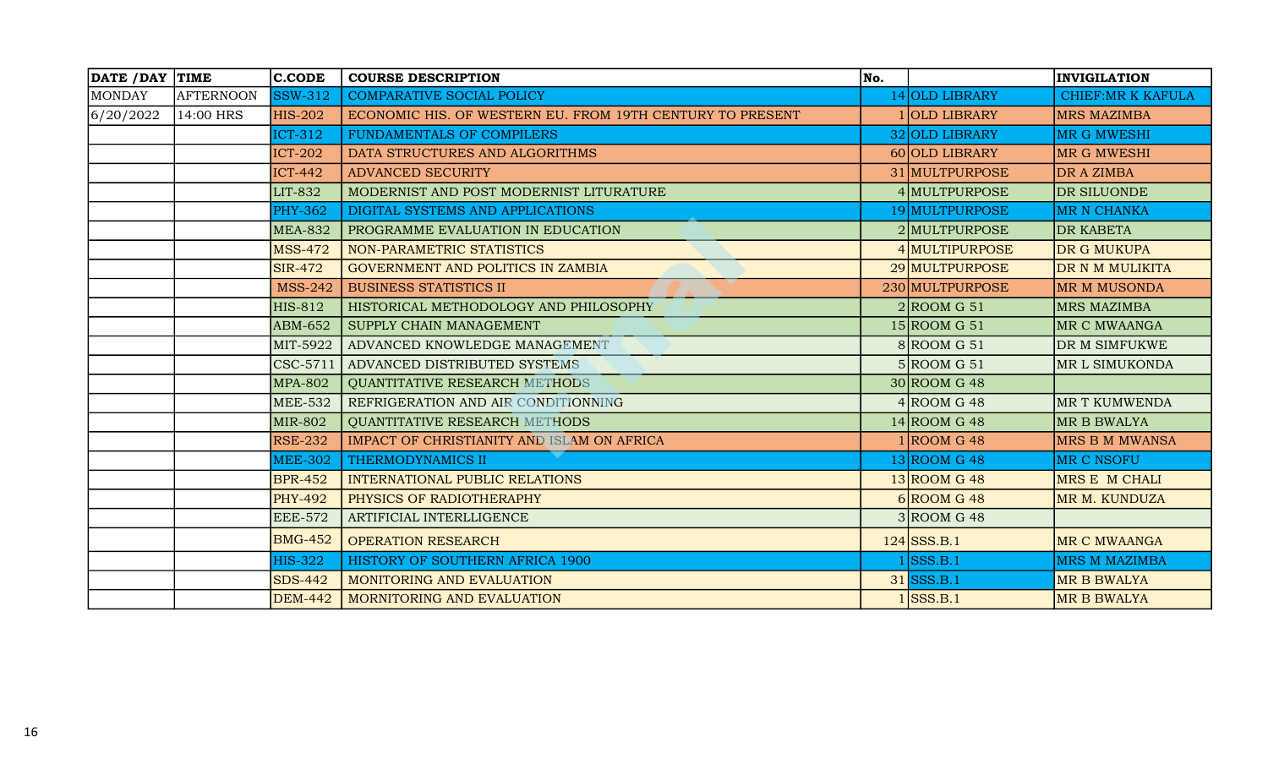|               | DATE / DAY TIME | <b>C.CODE</b>  | <b>COURSE DESCRIPTION</b>                                 | No. |                 | <b>INVIGILATION</b>      |
|---------------|-----------------|----------------|-----------------------------------------------------------|-----|-----------------|--------------------------|
| <b>MONDAY</b> | AFTERNOON       | <b>SSW-312</b> | <b>COMPARATIVE SOCIAL POLICY</b>                          |     | 14 OLD LIBRARY  | <b>CHIEF:MR K KAFULA</b> |
| 6/20/2022     | 14:00 HRS       | <b>HIS-202</b> | ECONOMIC HIS. OF WESTERN EU. FROM 19TH CENTURY TO PRESENT |     | 1 OLD LIBRARY   | <b>MRS MAZIMBA</b>       |
|               |                 | ICT-312        | FUNDAMENTALS OF COMPILERS                                 |     | 32 OLD LIBRARY  | <b>MR G MWESHI</b>       |
|               |                 | <b>ICT-202</b> | DATA STRUCTURES AND ALGORITHMS                            |     | 60 OLD LIBRARY  | IMR G MWESHI             |
|               |                 | <b>ICT-442</b> | <b>ADVANCED SECURITY</b>                                  |     | 31 MULTPURPOSE  | DR A ZIMBA               |
|               |                 | <b>LIT-832</b> | MODERNIST AND POST MODERNIST LITURATURE                   |     | 4 MULTPURPOSE   | DR SILUONDE              |
|               |                 | <b>PHY-362</b> | DIGITAL SYSTEMS AND APPLICATIONS                          |     | 19 MULTPURPOSE  | <b>MR N CHANKA</b>       |
|               |                 | <b>MEA-832</b> | PROGRAMME EVALUATION IN EDUCATION                         |     | 2 MULTPURPOSE   | DR KABETA                |
|               |                 | <b>MSS-472</b> | NON-PARAMETRIC STATISTICS                                 |     | 4 MULTIPURPOSE  | DR G MUKUPA              |
|               |                 | <b>SIR-472</b> | GOVERNMENT AND POLITICS IN ZAMBIA                         |     | 29 MULTPURPOSE  | DR N M MULIKITA          |
|               |                 | <b>MSS-242</b> | <b>BUSINESS STATISTICS II</b>                             |     | 230 MULTPURPOSE | MR M MUSONDA             |
|               |                 | <b>HIS-812</b> | HISTORICAL METHODOLOGY AND PHILOSOPHY                     |     | $2$ ROOM G 51   | <b>MRS MAZIMBA</b>       |
|               |                 | ABM-652        | SUPPLY CHAIN MANAGEMENT                                   |     | $15 $ ROOM G 51 | MR C MWAANGA             |
|               |                 | MIT-5922       | ADVANCED KNOWLEDGE MANAGEMENT                             |     | $8 $ ROOM G 51  | DR M SIMFUKWE            |
|               |                 | CSC-5711       | ADVANCED DISTRIBUTED SYSTEMS                              |     | 5 R OOM G 51    | MR L SIMUKONDA           |
|               |                 | <b>MPA-802</b> | <b>QUANTITATIVE RESEARCH METHODS</b>                      |     | $30$ ROOM G 48  |                          |
|               |                 | <b>MEE-532</b> | REFRIGERATION AND AIR CONDITIONNING                       |     | $4 $ ROOM G 48  | MR T KUMWENDA            |
|               |                 | <b>MIR-802</b> | <b>OUANTITATIVE RESEARCH METHODS</b>                      |     | $14$ ROOM G 48  | MR B BWALYA              |
|               |                 | <b>RSE-232</b> | IMPACT OF CHRISTIANITY AND ISLAM ON AFRICA                |     | 1 ROOM G 48     | <b>MRS B M MWANSA</b>    |
|               |                 | <b>MEE-302</b> | THERMODYNAMICS II                                         |     | $13 $ ROOM G 48 | MR C NSOFU               |
|               |                 | <b>BPR-452</b> | <b>INTERNATIONAL PUBLIC RELATIONS</b>                     |     | $13$ ROOM G 48  | MRS E M CHALI            |
|               |                 | <b>PHY-492</b> | PHYSICS OF RADIOTHERAPHY                                  |     | $6$ ROOM G 48   | MR M. KUNDUZA            |
|               |                 | <b>EEE-572</b> | ARTIFICIAL INTERLLIGENCE                                  |     | $3 $ ROOM G 48  |                          |
|               |                 | <b>BMG-452</b> | <b>OPERATION RESEARCH</b>                                 |     | $124$ SSS.B.1   | MR C MWAANGA             |
|               |                 | <b>HIS-322</b> | HISTORY OF SOUTHERN AFRICA 1900                           |     | SSS.B.1         | <b>MRS M MAZIMBA</b>     |
|               |                 | <b>SDS-442</b> | MONITORING AND EVALUATION                                 |     | $31$ SSS.B.1    | <b>MR B BWALYA</b>       |
|               |                 | <b>DEM-442</b> | MORNITORING AND EVALUATION                                |     | $1$ SSS.B.1     | <b>MR B BWALYA</b>       |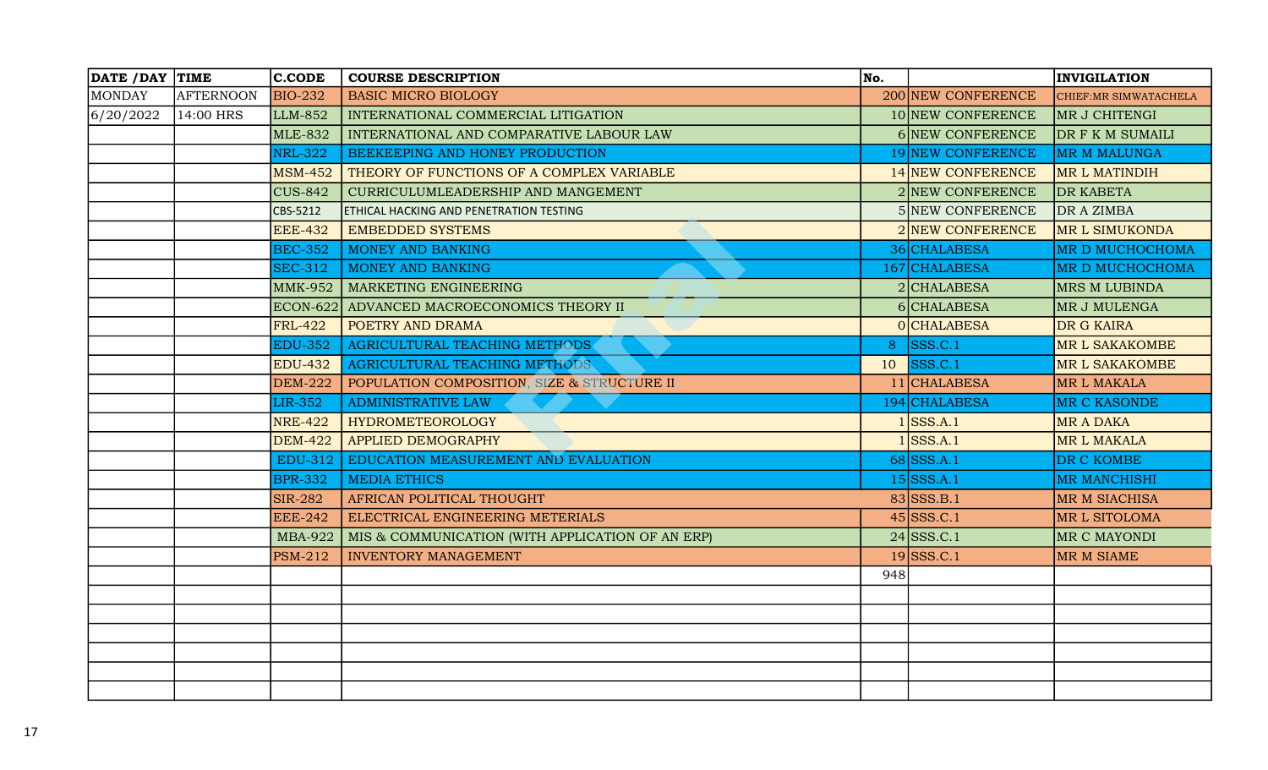| DATE / DAY TIME |                  | <b>C.CODE</b>  | <b>COURSE DESCRIPTION</b>                        | No. |                    | <b>INVIGILATION</b>    |
|-----------------|------------------|----------------|--------------------------------------------------|-----|--------------------|------------------------|
| <b>MONDAY</b>   | <b>AFTERNOON</b> | <b>BIO-232</b> | <b>BASIC MICRO BIOLOGY</b>                       |     | 200 NEW CONFERENCE | CHIEF: MR SIMWATACHELA |
| 6/20/2022       | 14:00 HRS        | LLM-852        | INTERNATIONAL COMMERCIAL LITIGATION              |     | 10 NEW CONFERENCE  | MR J CHITENGI          |
|                 |                  | <b>MLE-832</b> | INTERNATIONAL AND COMPARATIVE LABOUR LAW         |     | 6 NEW CONFERENCE   | DR F K M SUMAILI       |
|                 |                  | <b>NRL-322</b> | BEEKEEPING AND HONEY PRODUCTION                  |     | 19 NEW CONFERENCE  | <b>MR M MALUNGA</b>    |
|                 |                  | <b>MSM-452</b> | THEORY OF FUNCTIONS OF A COMPLEX VARIABLE        |     | 14 NEW CONFERENCE  | MR L MATINDIH          |
|                 |                  | <b>CUS-842</b> | CURRICULUMLEADERSHIP AND MANGEMENT               |     | 2 NEW CONFERENCE   | <b>DR KABETA</b>       |
|                 |                  | CBS-5212       | <b>ETHICAL HACKING AND PENETRATION TESTING</b>   |     | 5 NEW CONFERENCE   | DR A ZIMBA             |
|                 |                  | <b>EEE-432</b> | <b>EMBEDDED SYSTEMS</b>                          |     | 2 NEW CONFERENCE   | <b>MR L SIMUKONDA</b>  |
|                 |                  | <b>BEC-352</b> | MONEY AND BANKING                                |     | 36 CHALABESA       | MR D MUCHOCHOMA        |
|                 |                  | <b>SEC-312</b> | <b>MONEY AND BANKING</b>                         |     | 167 CHALABESA      | MR D MUCHOCHOMA        |
|                 |                  | <b>MMK-952</b> | <b>MARKETING ENGINEERING</b>                     |     | $2 $ CHALABESA     | <b>MRS M LUBINDA</b>   |
|                 |                  |                | ECON-622 ADVANCED MACROECONOMICS THEORY II       |     | 6 CHALABESA        | MR J MULENGA           |
|                 |                  | <b>FRL-422</b> | POETRY AND DRAMA                                 |     | 0 CHALABESA        | DR G KAIRA             |
|                 |                  | <b>EDU-352</b> | AGRICULTURAL TEACHING METHODS                    | 8   | SSS.C.1            | <b>MR L SAKAKOMBE</b>  |
|                 |                  | <b>EDU-432</b> | AGRICULTURAL TEACHING METHODS                    | 10  | SSS.C.1            | <b>MR L SAKAKOMBE</b>  |
|                 |                  | <b>DEM-222</b> | POPULATION COMPOSITION, SIZE & STRUCTURE II      |     | 11 CHALABESA       | MR L MAKALA            |
|                 |                  | <b>LIR-352</b> | <b>ADMINISTRATIVE LAW</b>                        |     | 194 CHALABESA      | <b>MR C KASONDE</b>    |
|                 |                  | <b>NRE-422</b> | <b>HYDROMETEOROLOGY</b>                          |     | $1$ SSS.A.1        | <b>MR A DAKA</b>       |
|                 |                  | <b>DEM-422</b> | <b>APPLIED DEMOGRAPHY</b>                        |     | SSS.A.1            | MR L MAKALA            |
|                 |                  | EDU-312        | EDUCATION MEASUREMENT AND EVALUATION             |     | $68$ SSS.A.1       | DR C KOMBE             |
|                 |                  | <b>BPR-332</b> | <b>MEDIA ETHICS</b>                              |     | $15$ SSS.A.1       | <b>MR MANCHISHI</b>    |
|                 |                  | <b>SIR-282</b> | AFRICAN POLITICAL THOUGHT                        |     | $83$ SSS.B.1       | <b>MR M SIACHISA</b>   |
|                 |                  | <b>EEE-242</b> | ELECTRICAL ENGINEERING METERIALS                 |     | $45$ SSS.C.1       | MR L SITOLOMA          |
|                 |                  | <b>MBA-922</b> | MIS & COMMUNICATION (WITH APPLICATION OF AN ERP) |     | $24$ SSS.C.1       | MR C MAYONDI           |
|                 |                  | <b>PSM-212</b> | <b>INVENTORY MANAGEMENT</b>                      |     | $19$ SSS.C.1       | MR M SIAME             |
|                 |                  |                |                                                  | 948 |                    |                        |
|                 |                  |                |                                                  |     |                    |                        |
|                 |                  |                |                                                  |     |                    |                        |
|                 |                  |                |                                                  |     |                    |                        |
|                 |                  |                |                                                  |     |                    |                        |
|                 |                  |                |                                                  |     |                    |                        |
|                 |                  |                |                                                  |     |                    |                        |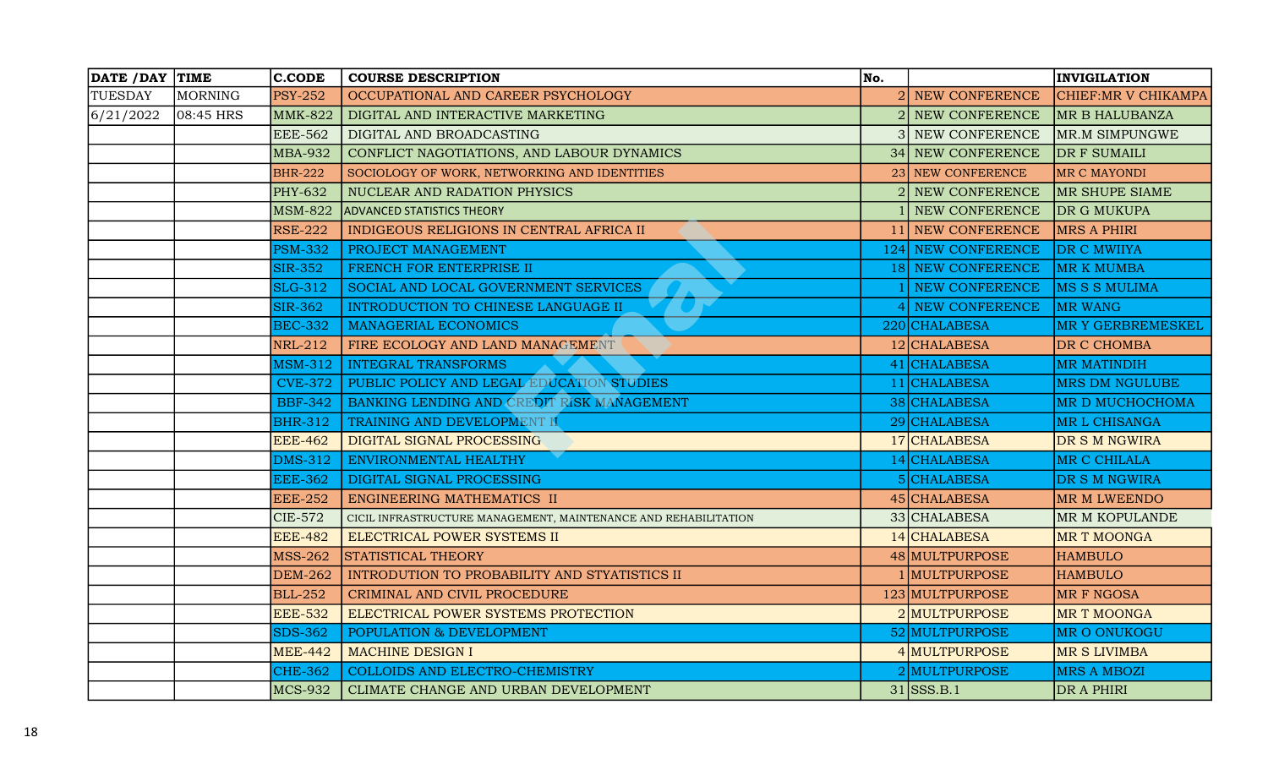| DATE / DAY TIME |           | <b>C.CODE</b>  | <b>COURSE DESCRIPTION</b>                                       | No. |                    | <b>INVIGILATION</b>      |
|-----------------|-----------|----------------|-----------------------------------------------------------------|-----|--------------------|--------------------------|
| <b>TUESDAY</b>  | MORNING   | <b>PSY-252</b> | OCCUPATIONAL AND CAREER PSYCHOLOGY                              |     | 2 NEW CONFERENCE   | CHIEF:MR V CHIKAMPA      |
| 6/21/2022       | 08:45 HRS | <b>MMK-822</b> | DIGITAL AND INTERACTIVE MARKETING                               |     | NEW CONFERENCE     | MR B HALUBANZA           |
|                 |           | <b>EEE-562</b> | DIGITAL AND BROADCASTING                                        |     | NEW CONFERENCE     | <b>MR.M SIMPUNGWE</b>    |
|                 |           | <b>MBA-932</b> | CONFLICT NAGOTIATIONS, AND LABOUR DYNAMICS                      |     | 34 NEW CONFERENCE  | DR F SUMAILI             |
|                 |           | <b>BHR-222</b> | SOCIOLOGY OF WORK, NETWORKING AND IDENTITIES                    |     | 23 NEW CONFERENCE  | <b>MR C MAYONDI</b>      |
|                 |           | <b>PHY-632</b> | NUCLEAR AND RADATION PHYSICS                                    |     | NEW CONFERENCE     | <b>MR SHUPE SIAME</b>    |
|                 |           | <b>MSM-822</b> | <b>ADVANCED STATISTICS THEORY</b>                               |     | NEW CONFERENCE     | DR G MUKUPA              |
|                 |           | <b>RSE-222</b> | INDIGEOUS RELIGIONS IN CENTRAL AFRICA II                        |     | 11 NEW CONFERENCE  | MRS A PHIRI              |
|                 |           | <b>PSM-332</b> | PROJECT MANAGEMENT                                              |     | 124 NEW CONFERENCE | DR C MWIIYA              |
|                 |           | <b>SIR-352</b> | FRENCH FOR ENTERPRISE II                                        |     | 18 NEW CONFERENCE  | <b>MR K MUMBA</b>        |
|                 |           | <b>SLG-312</b> | SOCIAL AND LOCAL GOVERNMENT SERVICES                            |     | I NEW CONFERENCE   | <b>MS S S MULIMA</b>     |
|                 |           | <b>SIR-362</b> | INTRODUCTION TO CHINESE LANGUAGE II                             |     | NEW CONFERENCE     | MR WANG                  |
|                 |           | <b>BEC-332</b> | <b>MANAGERIAL ECONOMICS</b>                                     |     | 220 CHALABESA      | <b>MR Y GERBREMESKEL</b> |
|                 |           | <b>NRL-212</b> | FIRE ECOLOGY AND LAND MANAGEMENT                                |     | 12 CHALABESA       | DR C CHOMBA              |
|                 |           | MSM-312        | <b>INTEGRAL TRANSFORMS</b>                                      |     | 41 CHALABESA       | <b>MR MATINDIH</b>       |
|                 |           | <b>CVE-372</b> | PUBLIC POLICY AND LEGAL EDUCATION STUDIES                       |     | 11 CHALABESA       | <b>MRS DM NGULUBE</b>    |
|                 |           | <b>BBF-342</b> | BANKING LENDING AND CREDIT RISK MANAGEMENT                      |     | 38 CHALABESA       | MR D MUCHOCHOMA          |
|                 |           | <b>BHR-312</b> | TRAINING AND DEVELOPMENT II                                     |     | 29 CHALABESA       | MR L CHISANGA            |
|                 |           | <b>EEE-462</b> | DIGITAL SIGNAL PROCESSING                                       |     | 17 CHALABESA       | DR S M NGWIRA            |
|                 |           | <b>DMS-312</b> | ENVIRONMENTAL HEALTHY                                           |     | 14 CHALABESA       | MR C CHILALA             |
|                 |           | <b>EEE-362</b> | DIGITAL SIGNAL PROCESSING                                       |     | 5 CHALABESA        | DR S M NGWIRA            |
|                 |           | <b>EEE-252</b> | ENGINEERING MATHEMATICS II                                      |     | 45 CHALABESA       | MR M LWEENDO             |
|                 |           | <b>CIE-572</b> | CICIL INFRASTRUCTURE MANAGEMENT, MAINTENANCE AND REHABILITATION |     | 33 CHALABESA       | MR M KOPULANDE           |
|                 |           | <b>EEE-482</b> | ELECTRICAL POWER SYSTEMS II                                     |     | 14 CHALABESA       | <b>MR T MOONGA</b>       |
|                 |           | <b>MSS-262</b> | STATISTICAL THEORY                                              |     | 48 MULTPURPOSE     | <b>HAMBULO</b>           |
|                 |           | <b>DEM-262</b> | INTRODUTION TO PROBABILITY AND STYATISTICS II                   |     | I MULTPURPOSE      | <b>HAMBULO</b>           |
|                 |           | <b>BLL-252</b> | CRIMINAL AND CIVIL PROCEDURE                                    |     | 123 MULTPURPOSE    | <b>MRF NGOSA</b>         |
|                 |           | <b>EEE-532</b> | ELECTRICAL POWER SYSTEMS PROTECTION                             |     | 2 MULTPURPOSE      | <b>MR T MOONGA</b>       |
|                 |           | <b>SDS-362</b> | POPULATION & DEVELOPMENT                                        |     | 52 MULTPURPOSE     | MR O ONUKOGU             |
|                 |           | <b>MEE-442</b> | <b>MACHINE DESIGN I</b>                                         |     | 4 MULTPURPOSE      | <b>MR S LIVIMBA</b>      |
|                 |           | <b>CHE-362</b> | COLLOIDS AND ELECTRO-CHEMISTRY                                  |     | 2 MULTPURPOSE      | <b>MRS A MBOZI</b>       |
|                 |           | <b>MCS-932</b> | CLIMATE CHANGE AND URBAN DEVELOPMENT                            |     | $31$ SSS.B.1       | DR A PHIRI               |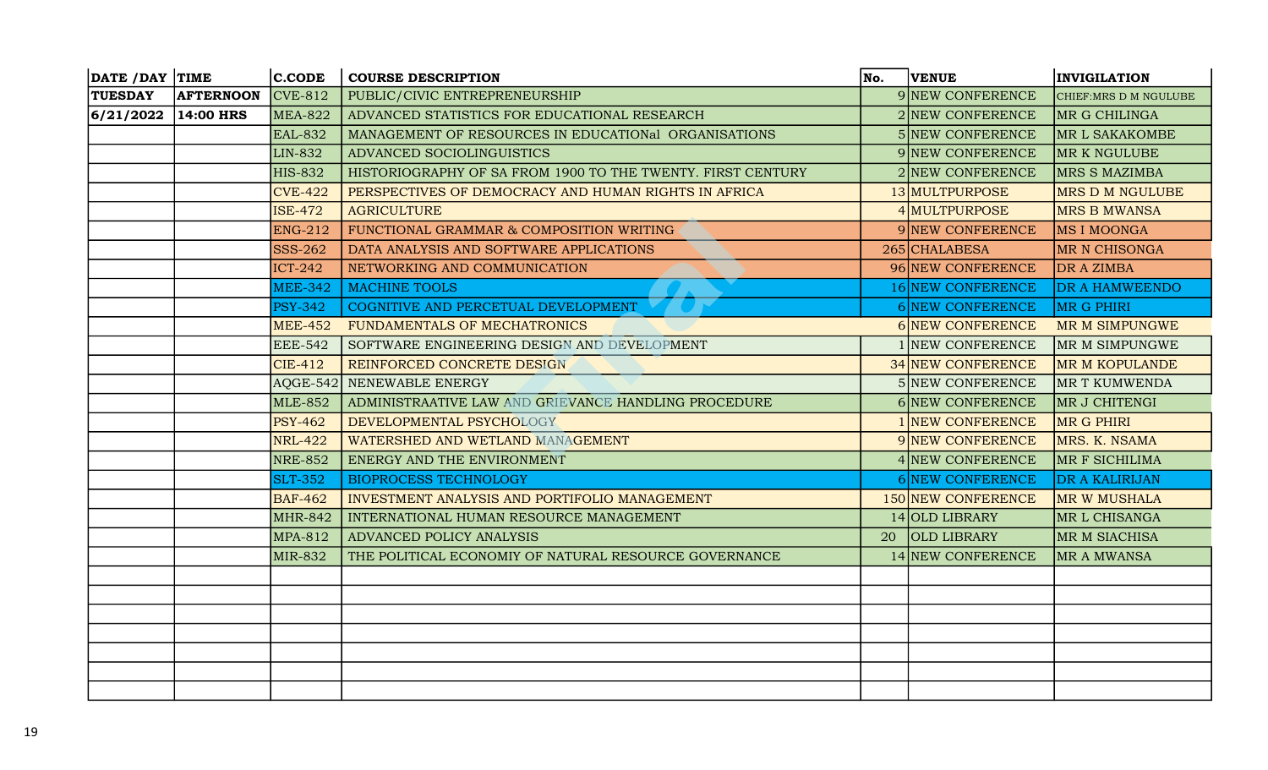| DATE / DAY TIME |                  | $ $ C.CODE     | <b>COURSE DESCRIPTION</b>                                   | No. | <b>VENUE</b>            | <b>INVIGILATION</b>    |
|-----------------|------------------|----------------|-------------------------------------------------------------|-----|-------------------------|------------------------|
| <b>TUESDAY</b>  | <b>AFTERNOON</b> | $CVE-812$      | PUBLIC/CIVIC ENTREPRENEURSHIP                               |     | 9 NEW CONFERENCE        | CHIEF: MRS D M NGULUBE |
| 6/21/2022       | $14:00$ HRS      | <b>MEA-822</b> | ADVANCED STATISTICS FOR EDUCATIONAL RESEARCH                |     | 2 NEW CONFERENCE        | MR G CHILINGA          |
|                 |                  | <b>EAL-832</b> | MANAGEMENT OF RESOURCES IN EDUCATIONal ORGANISATIONS        |     | <b>5 NEW CONFERENCE</b> | MR L SAKAKOMBE         |
|                 |                  | <b>LIN-832</b> | ADVANCED SOCIOLINGUISTICS                                   |     | 9 NEW CONFERENCE        | <b>MR K NGULUBE</b>    |
|                 |                  | <b>HIS-832</b> | HISTORIOGRAPHY OF SA FROM 1900 TO THE TWENTY. FIRST CENTURY |     | 2 NEW CONFERENCE        | <b>MRS S MAZIMBA</b>   |
|                 |                  | <b>CVE-422</b> | PERSPECTIVES OF DEMOCRACY AND HUMAN RIGHTS IN AFRICA        |     | 13 MULTPURPOSE          | <b>MRS D M NGULUBE</b> |
|                 |                  | <b>ISE-472</b> | <b>AGRICULTURE</b>                                          |     | 4 MULTPURPOSE           | <b>MRS B MWANSA</b>    |
|                 |                  | <b>ENG-212</b> | FUNCTIONAL GRAMMAR & COMPOSITION WRITING                    |     | 9 NEW CONFERENCE        | MS I MOONGA            |
|                 |                  | <b>SSS-262</b> | DATA ANALYSIS AND SOFTWARE APPLICATIONS                     |     | 265 CHALABESA           | <b>MR N CHISONGA</b>   |
|                 |                  | <b>ICT-242</b> | NETWORKING AND COMMUNICATION                                |     | 96 NEW CONFERENCE       | DR A ZIMBA             |
|                 |                  | <b>MEE-342</b> | <b>MACHINE TOOLS</b>                                        |     | 16 NEW CONFERENCE       | DR A HAMWEENDO         |
|                 |                  | <b>PSY-342</b> | COGNITIVE AND PERCETUAL DEVELOPMENT                         |     | 6 NEW CONFERENCE        | <b>MR G PHIRI</b>      |
|                 |                  | <b>MEE-452</b> | FUNDAMENTALS OF MECHATRONICS                                |     | <b>6 NEW CONFERENCE</b> | MR M SIMPUNGWE         |
|                 |                  | <b>EEE-542</b> | SOFTWARE ENGINEERING DESIGN AND DEVELOPMENT                 |     | I NEW CONFERENCE        | MR M SIMPUNGWE         |
|                 |                  | <b>CIE-412</b> | REINFORCED CONCRETE DESIGN                                  |     | 34 NEW CONFERENCE       | <b>MR M KOPULANDE</b>  |
|                 |                  |                | AQGE-542 NENEWABLE ENERGY                                   |     | 5 NEW CONFERENCE        | <b>MR T KUMWENDA</b>   |
|                 |                  | <b>MLE-852</b> | ADMINISTRAATIVE LAW AND GRIEVANCE HANDLING PROCEDURE        |     | 6 NEW CONFERENCE        | MR J CHITENGI          |
|                 |                  | <b>PSY-462</b> | DEVELOPMENTAL PSYCHOLOGY                                    |     | 1 NEW CONFERENCE        | MR G PHIRI             |
|                 |                  | <b>NRL-422</b> | WATERSHED AND WETLAND MANAGEMENT                            |     | 9 NEW CONFERENCE        | MRS. K. NSAMA          |
|                 |                  | <b>NRE-852</b> | ENERGY AND THE ENVIRONMENT                                  |     | 4 NEW CONFERENCE        | MR F SICHILIMA         |
|                 |                  | <b>SLT-352</b> | <b>BIOPROCESS TECHNOLOGY</b>                                |     | 6 NEW CONFERENCE        | <b>DR A KALIRIJAN</b>  |
|                 |                  | <b>BAF-462</b> | INVESTMENT ANALYSIS AND PORTIFOLIO MANAGEMENT               |     | 150 NEW CONFERENCE      | MR W MUSHALA           |
|                 |                  | <b>MHR-842</b> | INTERNATIONAL HUMAN RESOURCE MANAGEMENT                     |     | 14 OLD LIBRARY          | MR L CHISANGA          |
|                 |                  | <b>MPA-812</b> | ADVANCED POLICY ANALYSIS                                    | 20  | <b>OLD LIBRARY</b>      | MR M SIACHISA          |
|                 |                  | <b>MIR-832</b> | THE POLITICAL ECONOMIY OF NATURAL RESOURCE GOVERNANCE       |     | 14 NEW CONFERENCE       | <b>MR A MWANSA</b>     |
|                 |                  |                |                                                             |     |                         |                        |
|                 |                  |                |                                                             |     |                         |                        |
|                 |                  |                |                                                             |     |                         |                        |
|                 |                  |                |                                                             |     |                         |                        |
|                 |                  |                |                                                             |     |                         |                        |
|                 |                  |                |                                                             |     |                         |                        |
|                 |                  |                |                                                             |     |                         |                        |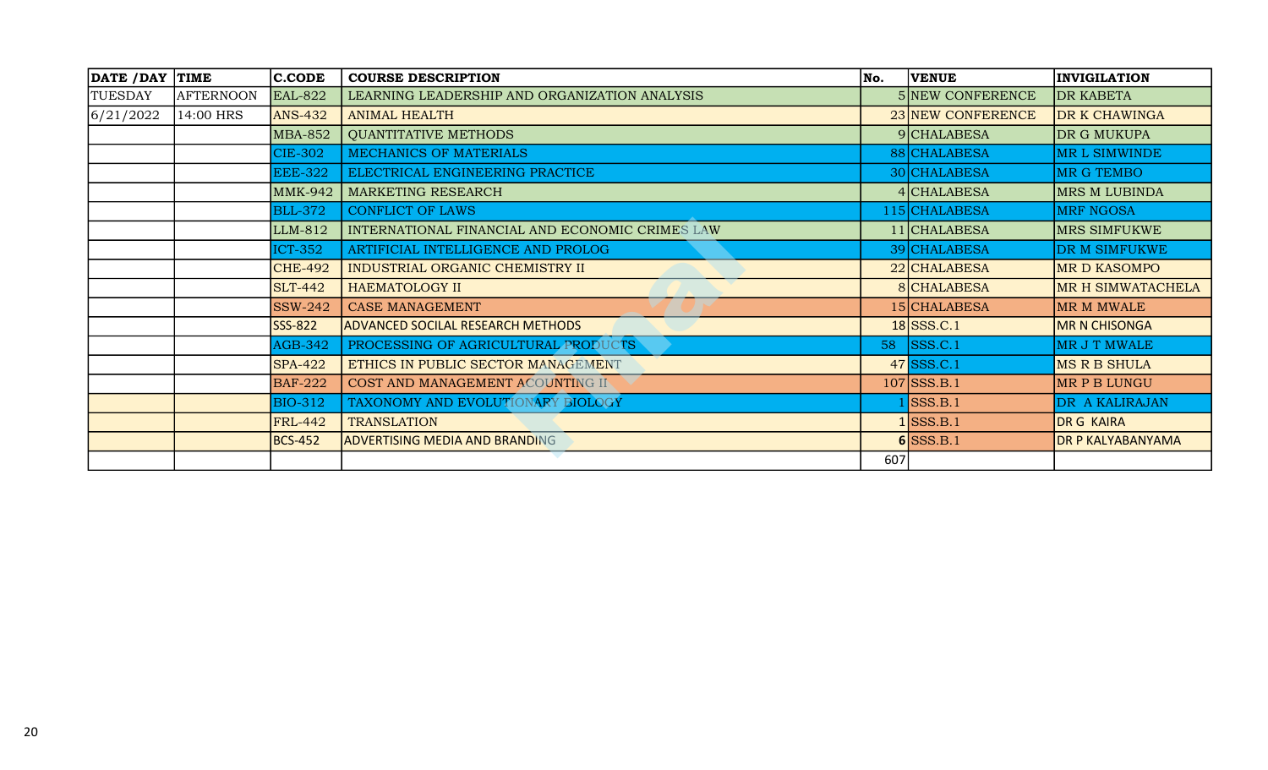|           | DATE / DAY TIME  | <b>C.CODE</b>  | <b>COURSE DESCRIPTION</b>                       | No. | <b>VENUE</b>      | <b>INVIGILATION</b>      |
|-----------|------------------|----------------|-------------------------------------------------|-----|-------------------|--------------------------|
| TUESDAY   | <b>AFTERNOON</b> | <b>EAL-822</b> | LEARNING LEADERSHIP AND ORGANIZATION ANALYSIS   |     | 5 NEW CONFERENCE  | <b>DR KABETA</b>         |
| 6/21/2022 | 14:00 HRS        | <b>ANS-432</b> | <b>ANIMAL HEALTH</b>                            |     | 23 NEW CONFERENCE | DR K CHAWINGA            |
|           |                  | <b>MBA-852</b> | <b>QUANTITATIVE METHODS</b>                     |     | 9 CHALABESA       | DR G MUKUPA              |
|           |                  | <b>CIE-302</b> | MECHANICS OF MATERIALS                          |     | 88 CHALABESA      | MR L SIMWINDE            |
|           |                  | <b>EEE-322</b> | ELECTRICAL ENGINEERING PRACTICE                 |     | 30 CHALABESA      | <b>MR G TEMBO</b>        |
|           |                  | <b>MMK-942</b> | <b>MARKETING RESEARCH</b>                       |     | 4 CHALABESA       | <b>MRS M LUBINDA</b>     |
|           |                  | <b>BLL-372</b> | <b>CONFLICT OF LAWS</b>                         |     | 115 CHALABESA     | <b>MRF NGOSA</b>         |
|           |                  | LLM-812        | INTERNATIONAL FINANCIAL AND ECONOMIC CRIMES LAW |     | 11 CHALABESA      | <b>MRS SIMFUKWE</b>      |
|           |                  | <b>ICT-352</b> | ARTIFICIAL INTELLIGENCE AND PROLOG              |     | 39 CHALABESA      | DR M SIMFUKWE            |
|           |                  | <b>CHE-492</b> | INDUSTRIAL ORGANIC CHEMISTRY II                 |     | 22 CHALABESA      | <b>MR D KASOMPO</b>      |
|           |                  | <b>SLT-442</b> | <b>HAEMATOLOGY II</b>                           |     | 8 CHALABESA       | MR H SIMWATACHELA        |
|           |                  | <b>SSW-242</b> | CASE MANAGEMENT                                 |     | 15 CHALABESA      | MR M MWALE               |
|           |                  | <b>SSS-822</b> | <b>ADVANCED SOCILAL RESEARCH METHODS</b>        |     | $18$ SSS.C.1      | <b>MR N CHISONGA</b>     |
|           |                  | <b>AGB-342</b> | PROCESSING OF AGRICULTURAL PRODUCTS             |     | 58 SSS.C.1        | MR J T MWALE             |
|           |                  | <b>SPA-422</b> | ETHICS IN PUBLIC SECTOR MANAGEMENT              |     | $47$ SSS.C.1      | <b>MS R B SHULA</b>      |
|           |                  | <b>BAF-222</b> | COST AND MANAGEMENT ACOUNTING II                |     | $107$ SSS.B.1     | MR P B LUNGU             |
|           |                  | <b>BIO-312</b> | TAXONOMY AND EVOLUTIONARY BIOLOGY               |     | SSS.B.1           | DR A KALIRAJAN           |
|           |                  | <b>FRL-442</b> | <b>TRANSLATION</b>                              |     | $1$ SSS.B.1       | <b>DR G KAIRA</b>        |
|           |                  | <b>BCS-452</b> | <b>ADVERTISING MEDIA AND BRANDING</b>           |     | $6$ SSS.B.1       | <b>DR P KALYABANYAMA</b> |
|           |                  |                |                                                 | 607 |                   |                          |
|           |                  |                |                                                 |     |                   |                          |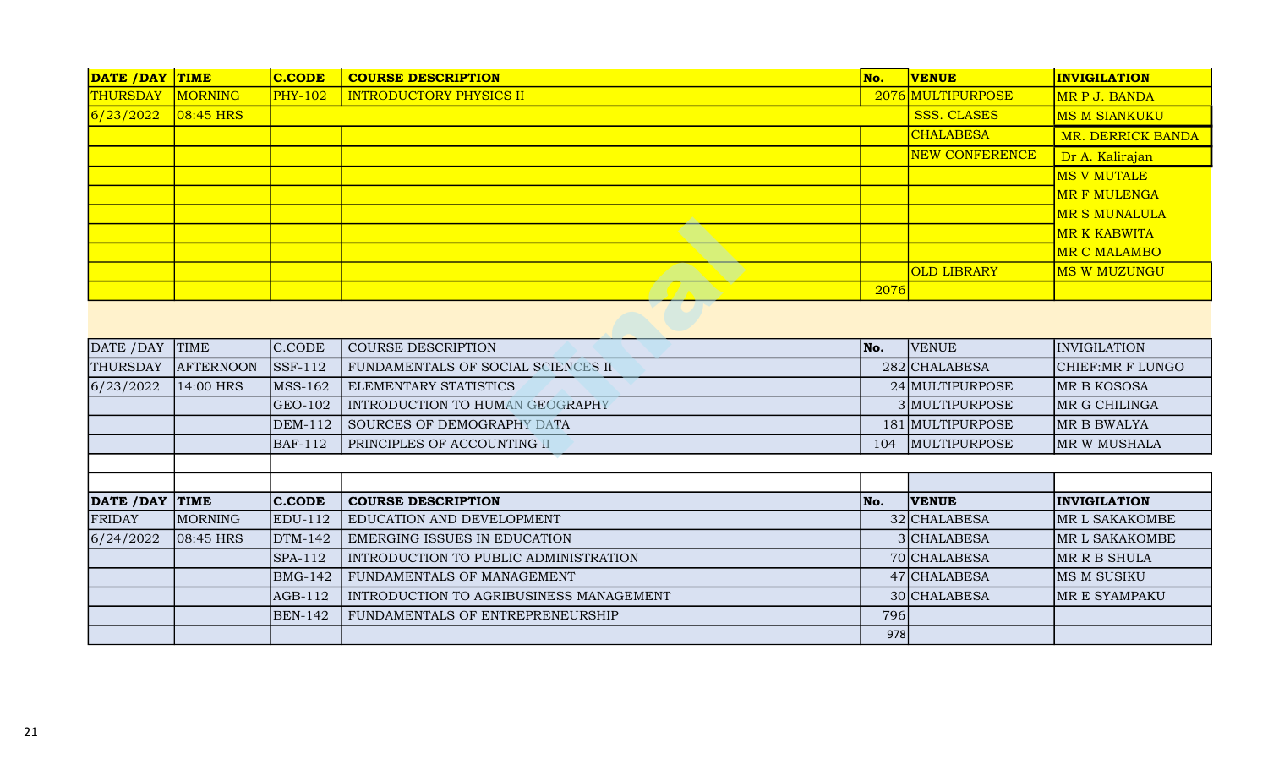| DATE / DAY TIME |              | $ $ C.CODE | <b>COURSE DESCRIPTION</b>      | No.  | <b>VENUE</b>          | <b>INVIGILATION</b>   |
|-----------------|--------------|------------|--------------------------------|------|-----------------------|-----------------------|
| <b>THURSDAY</b> | MORNING      | $PHY-102$  | <b>INTRODUCTORY PHYSICS II</b> |      | 2076 MULTIPURPOSE     | MR P J. BANDA         |
| 6/23/2022       | $ 08:45$ HRS |            |                                |      | SSS. CLASES           | <b>MS M SIANKUKU</b>  |
|                 |              |            |                                |      | <b>CHALABESA</b>      | MR. DERRICK BANDA     |
|                 |              |            |                                |      | <b>NEW CONFERENCE</b> | Dr A. Kalirajan       |
|                 |              |            |                                |      |                       | MS V MUTALE           |
|                 |              |            |                                |      |                       | <b>MR F MULENGA</b>   |
|                 |              |            |                                |      |                       | <b>IMR S MUNALULA</b> |
|                 |              |            |                                |      |                       | <b>MR K KABWITA</b>   |
|                 |              |            |                                |      |                       | MR C MALAMBO          |
|                 |              |            |                                |      | <b>OLD LIBRARY</b>    | <u> MS W MUZUNGU_</u> |
|                 |              |            |                                | 2076 |                       |                       |

|                 |                  |                |                                         |      |                     | <b>MR K KABWITA</b> |
|-----------------|------------------|----------------|-----------------------------------------|------|---------------------|---------------------|
|                 |                  |                |                                         |      |                     | MR C MALAMBO        |
|                 |                  |                |                                         |      | <b>OLD LIBRARY</b>  | <b>MS W MUZUNGU</b> |
|                 |                  |                |                                         | 2076 |                     |                     |
|                 |                  |                |                                         |      |                     |                     |
| DATE / DAY      | <b>TIME</b>      | C.CODE         | <b>COURSE DESCRIPTION</b>               | No.  | <b>VENUE</b>        | INVIGILATION        |
| <b>THURSDAY</b> | <b>AFTERNOON</b> | <b>SSF-112</b> | FUNDAMENTALS OF SOCIAL SCIENCES II      |      | 282 CHALABESA       | CHIEF: MR F LUNGO   |
| 6/23/2022       | 14:00 HRS        | <b>MSS-162</b> | ELEMENTARY STATISTICS                   |      | 24 MULTIPURPOSE     | MR B KOSOSA         |
|                 |                  | $GEO-102$      | INTRODUCTION TO HUMAN GEOGRAPHY         |      | 3 MULTIPURPOSE      | MR G CHILINGA       |
|                 |                  | <b>DEM-112</b> | SOURCES OF DEMOGRAPHY DATA              |      | 181 MULTIPURPOSE    | MR B BWALYA         |
|                 |                  |                |                                         |      |                     |                     |
|                 |                  | <b>BAF-112</b> | PRINCIPLES OF ACCOUNTING II             | 104  | <b>MULTIPURPOSE</b> |                     |
|                 |                  |                |                                         |      |                     |                     |
|                 |                  |                |                                         |      |                     | MR W MUSHALA        |
| DATE / DAY      | <b>TIME</b>      | <b>C.CODE</b>  | <b>COURSE DESCRIPTION</b>               | No.  | <b>VENUE</b>        | <b>INVIGILATION</b> |
| <b>FRIDAY</b>   | MORNING          | <b>EDU-112</b> | EDUCATION AND DEVELOPMENT               |      | 32 CHALABESA        | MR L SAKAKOMBE      |
| 6/24/2022       | 08:45 HRS        | DTM-142        | EMERGING ISSUES IN EDUCATION            |      | 3 CHALABESA         | MR L SAKAKOMBE      |
|                 |                  | $SPA-112$      | INTRODUCTION TO PUBLIC ADMINISTRATION   |      | 70 CHALABESA        | MR R B SHULA        |
|                 |                  | <b>BMG-142</b> | FUNDAMENTALS OF MANAGEMENT              |      | 47 CHALABESA        | MS M SUSIKU         |
|                 |                  | AGB-112        | INTRODUCTION TO AGRIBUSINESS MANAGEMENT |      | 30 CHALABESA        | MR E SYAMPAKU       |
|                 |                  | <b>BEN-142</b> | FUNDAMENTALS OF ENTREPRENEURSHIP        | 796  |                     |                     |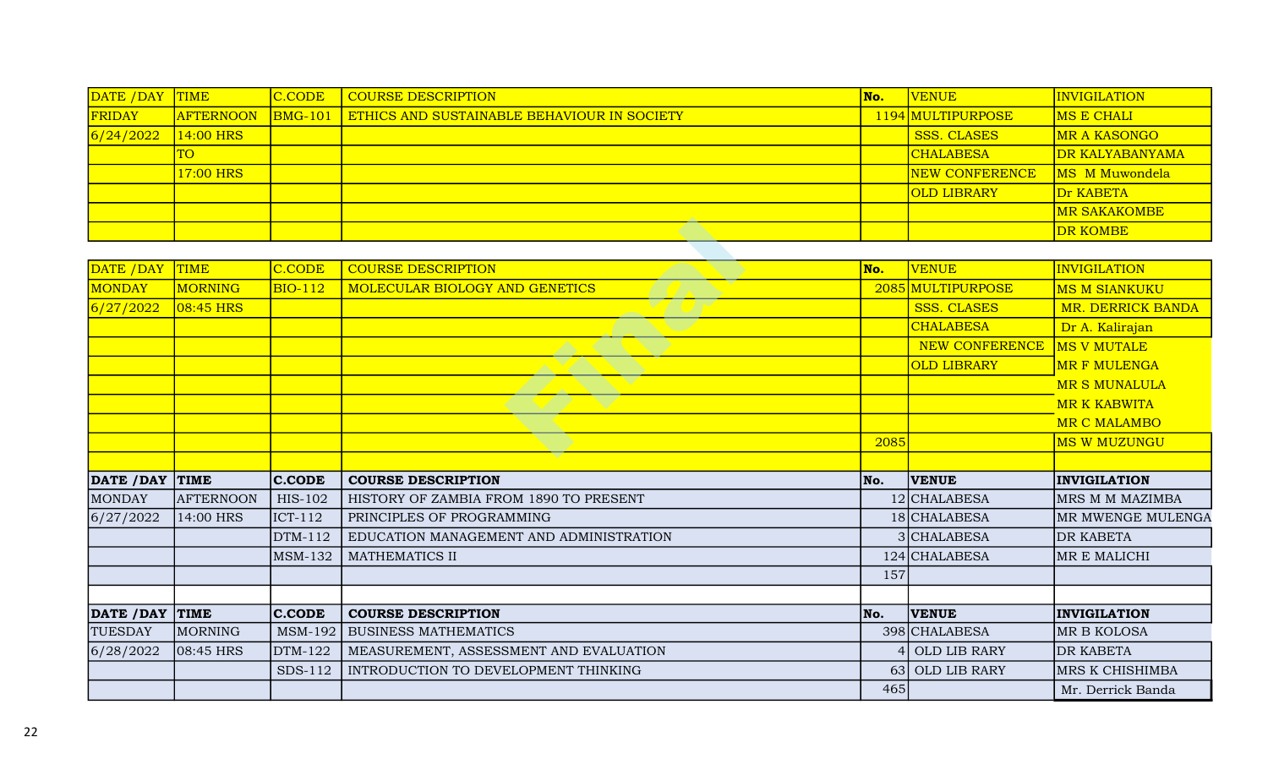| DATE / DAY | <b>TIME</b>      | C.CODE | COURSE DESCRIPTION                                         | No. | <b>VENUE</b>          | <b>INVIGILATION</b>    |
|------------|------------------|--------|------------------------------------------------------------|-----|-----------------------|------------------------|
| FRIDAY     | <b>AFTERNOON</b> |        | <b>BMG-101 ETHICS AND SUSTAINABLE BEHAVIOUR IN SOCIETY</b> |     | 1194 MULTIPURPOSE     | <b>IMS E CHALI</b>     |
| 6/24/2022  | $14:00$ HRS      |        |                                                            |     | <b>SSS. CLASES</b>    | MR A KASONGO           |
|            | <b>TO</b>        |        |                                                            |     | <b>CHALABESA</b>      | <b>DR KALYABANYAMA</b> |
|            | 17:00 HRS        |        |                                                            |     | <b>NEW CONFERENCE</b> | MS M Muwondela         |
|            |                  |        |                                                            |     | <b>OLD LIBRARY</b>    | Dr KABETA              |
|            |                  |        |                                                            |     |                       | <b>MR SAKAKOMBE</b>    |
|            |                  |        |                                                            |     |                       | <b>DR KOMBE</b>        |

|                 |                  |                |                                         |                |                       | <b>DR KOMBE</b>      |
|-----------------|------------------|----------------|-----------------------------------------|----------------|-----------------------|----------------------|
|                 |                  |                |                                         |                |                       |                      |
| DATE /DAY       | <b>TIME</b>      | C.CODE         | <b>COURSE DESCRIPTION</b>               | No.            | <b>VENUE</b>          | <b>INVIGILATION</b>  |
| <b>MONDAY</b>   | MORNING          | BIO-112        | MOLECULAR BIOLOGY AND GENETICS          |                | 2085 MULTIPURPOSE     | <b>MS M SIANKUKU</b> |
| 6/27/2022       | $08:45$ HRS      |                |                                         |                | <b>SSS. CLASES</b>    | MR. DERRICK BANDA    |
|                 |                  |                |                                         |                | <b>CHALABESA</b>      | Dr A. Kalirajan      |
|                 |                  |                |                                         |                | <b>NEW CONFERENCE</b> | <b>MS V MUTALE</b>   |
|                 |                  |                |                                         |                | <b>OLD LIBRARY</b>    | <b>MR F MULENGA</b>  |
|                 |                  |                |                                         |                |                       | <b>MR S MUNALULA</b> |
|                 |                  |                |                                         |                |                       | <b>MR K KABWITA</b>  |
|                 |                  |                |                                         |                |                       | MR C MALAMBO         |
|                 |                  |                |                                         | 2085           |                       | <b>MS W MUZUNGU</b>  |
|                 |                  |                |                                         |                |                       |                      |
| DATE / DAY      | TIME             | $ $ C.CODE     | <b>COURSE DESCRIPTION</b>               | No.            | <b>VENUE</b>          | <b>INVIGILATION</b>  |
| <b>MONDAY</b>   | <b>AFTERNOON</b> | HIS-102        | HISTORY OF ZAMBIA FROM 1890 TO PRESENT  |                | 12 CHALABESA          | MRS M M MAZIMBA      |
| 6/27/2022       | 14:00 HRS        | $ICT-112$      | PRINCIPLES OF PROGRAMMING               |                | 18 CHALABESA          | MR MWENGE MULENGA    |
|                 |                  | DTM-112        | EDUCATION MANAGEMENT AND ADMINISTRATION |                | 3 CHALABESA           | <b>DR KABETA</b>     |
|                 |                  | <b>MSM-132</b> | <b>MATHEMATICS II</b>                   |                | 124 CHALABESA         | MR E MALICHI         |
|                 |                  |                |                                         | 157            |                       |                      |
|                 |                  |                |                                         |                |                       |                      |
| DATE / DAY TIME |                  | <b>C.CODE</b>  | <b>COURSE DESCRIPTION</b>               | No.            | <b>VENUE</b>          | <b>INVIGILATION</b>  |
| <b>TUESDAY</b>  | MORNING          | MSM-192        | <b>BUSINESS MATHEMATICS</b>             |                | 398 CHALABESA         | MR B KOLOSA          |
| 6/28/2022       | 08:45 HRS        | DTM-122        | MEASUREMENT, ASSESSMENT AND EVALUATION  | $\overline{4}$ | OLD LIB RARY          | <b>DR KABETA</b>     |
|                 |                  | SDS-112        | INTRODUCTION TO DEVELOPMENT THINKING    |                | 63 OLD LIB RARY       | MRS K CHISHIMBA      |
|                 |                  |                |                                         | 465            |                       |                      |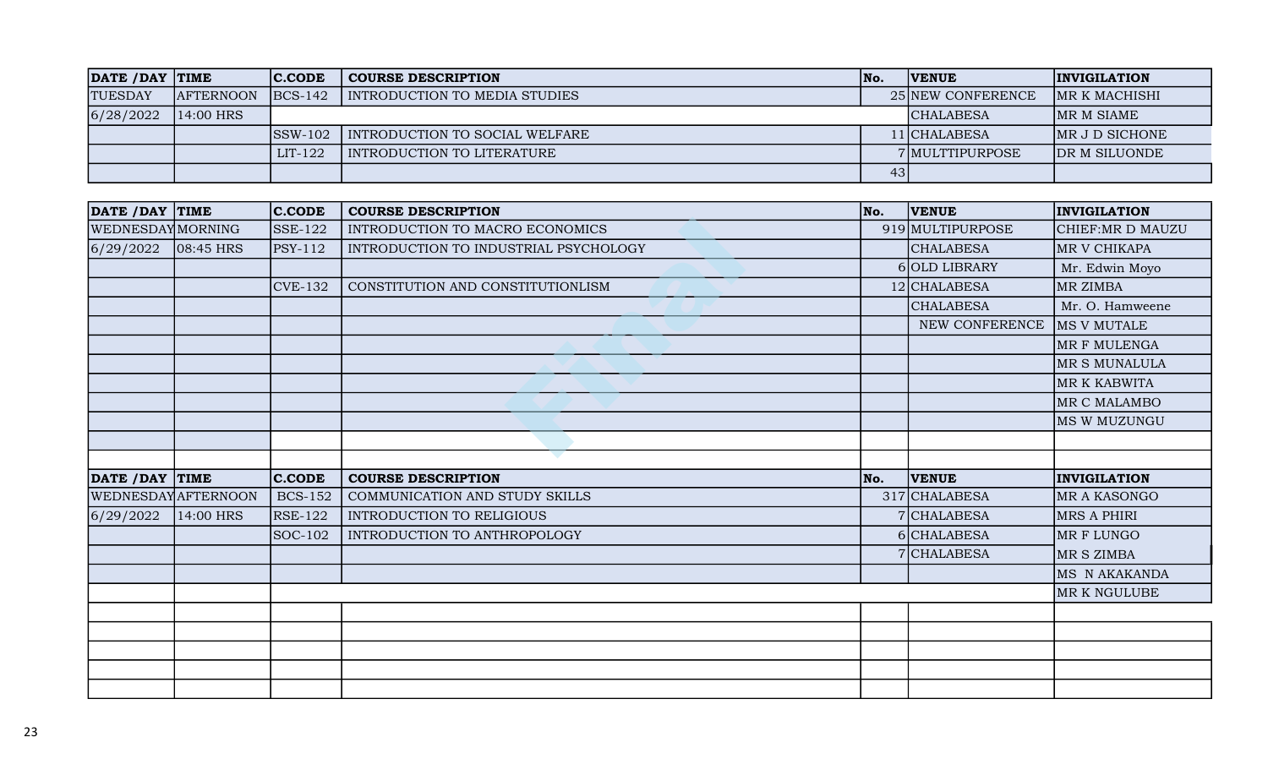| DATE / DAY TIME |                  | <b>IC.CODE</b> | <b>COURSE DESCRIPTION</b>      | lNo. | <b>IVENUE</b>     | <b>INVIGILATION</b>  |
|-----------------|------------------|----------------|--------------------------------|------|-------------------|----------------------|
| <b>TUESDAY</b>  | <b>AFTERNOON</b> | $ BCS-142 $    | INTRODUCTION TO MEDIA STUDIES  |      | 25 NEW CONFERENCE | IMR K MACHISHI       |
| 6/28/2022       | $14:00$ HRS      |                |                                |      | <b>CHALABESA</b>  | IMR M SIAME          |
|                 |                  | ISSW-102       | INTRODUCTION TO SOCIAL WELFARE |      | l 1   CHALABESA   | IMR J D SICHONE      |
|                 |                  | LIT-122        | I INTRODUCTION TO LITERATURE   |      | 7 MULTTIPURPOSE   | <b>DR M SILUONDE</b> |
|                 |                  |                |                                | 43   |                   |                      |

| DATE / DAY TIME   |                    | $ $ C.CODE     | <b>COURSE DESCRIPTION</b>             | No. | <b>VENUE</b>     | <b>INVIGILATION</b> |
|-------------------|--------------------|----------------|---------------------------------------|-----|------------------|---------------------|
| WEDNESDAY MORNING |                    | $SSE-122$      | INTRODUCTION TO MACRO ECONOMICS       |     | 919 MULTIPURPOSE | CHIEF:MR D MAUZU    |
| 6/29/2022         | $ 08:45$ HRS       | <b>PSY-112</b> | INTRODUCTION TO INDUSTRIAL PSYCHOLOGY |     | <b>CHALABESA</b> | MR V CHIKAPA        |
|                   |                    |                |                                       |     | 6 OLD LIBRARY    | Mr. Edwin Moyo      |
|                   |                    | <b>CVE-132</b> | CONSTITUTION AND CONSTITUTIONLISM     |     | 12 CHALABESA     | MR ZIMBA            |
|                   |                    |                |                                       |     | <b>CHALABESA</b> | Mr. O. Hamweene     |
|                   |                    |                |                                       |     | NEW CONFERENCE   | MS V MUTALE         |
|                   |                    |                |                                       |     |                  | MR F MULENGA        |
|                   |                    |                |                                       |     |                  | MR S MUNALULA       |
|                   |                    |                |                                       |     |                  | MR K KABWITA        |
|                   |                    |                |                                       |     |                  | MR C MALAMBO        |
|                   |                    |                |                                       |     |                  | MS W MUZUNGU        |
|                   |                    |                |                                       |     |                  |                     |
|                   |                    |                |                                       |     |                  |                     |
|                   |                    |                |                                       |     |                  |                     |
| DATE / DAY TIME   |                    | <b>C.CODE</b>  | <b>COURSE DESCRIPTION</b>             | No. | <b>VENUE</b>     | <b>INVIGILATION</b> |
|                   | WEDNESDAYAFTERNOON | <b>BCS-152</b> | COMMUNICATION AND STUDY SKILLS        |     | 317 CHALABESA    | MR A KASONGO        |
| 6/29/2022         | 14:00 HRS          | <b>RSE-122</b> | INTRODUCTION TO RELIGIOUS             |     | 7 CHALABESA      | MRS A PHIRI         |
|                   |                    | SOC-102        | INTRODUCTION TO ANTHROPOLOGY          |     | 6 CHALABESA      | MR F LUNGO          |
|                   |                    |                |                                       |     | 7 CHALABESA      | MR S ZIMBA          |
|                   |                    |                |                                       |     |                  | MS N AKAKANDA       |
|                   |                    |                |                                       |     |                  | MR K NGULUBE        |
|                   |                    |                |                                       |     |                  |                     |
|                   |                    |                |                                       |     |                  |                     |
|                   |                    |                |                                       |     |                  |                     |
|                   |                    |                |                                       |     |                  |                     |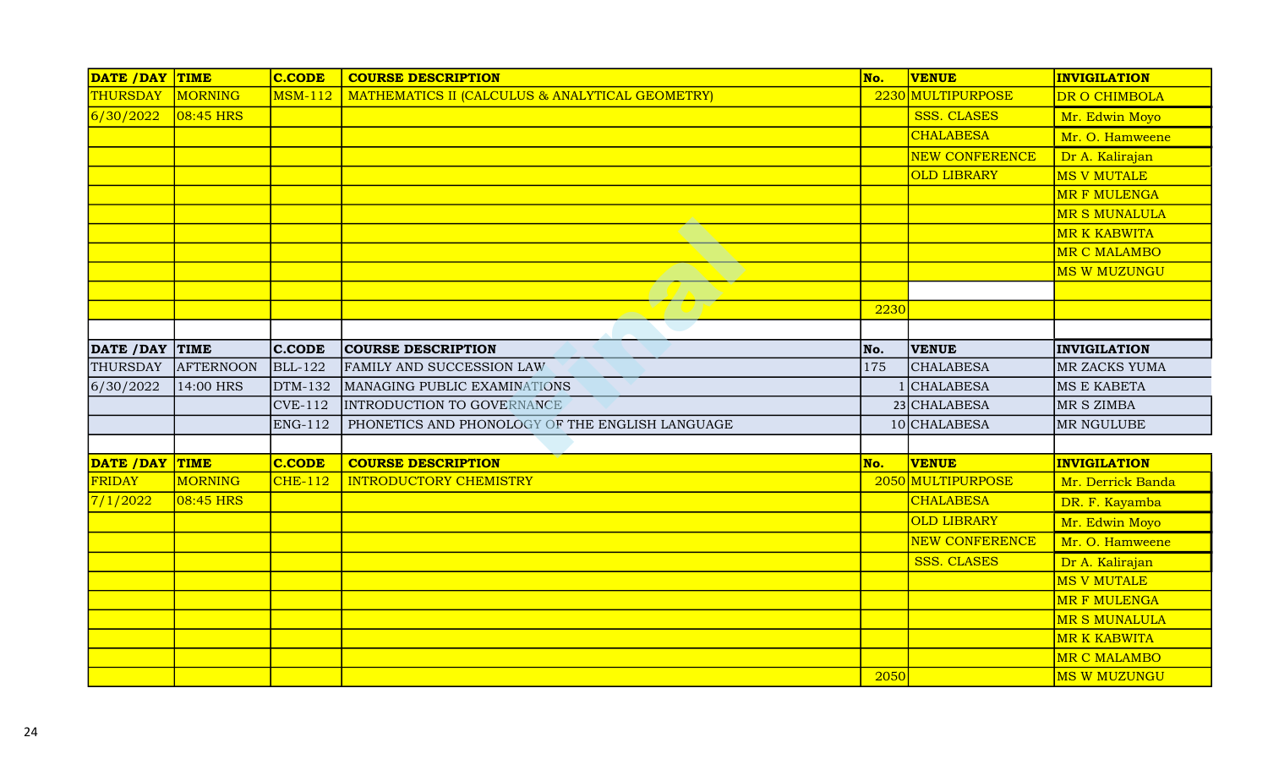| DATE /DAY TIME  |             | <b>C.CODE</b>  | <b>COURSE DESCRIPTION</b>                       | No.  | <b>VENUE</b>          | <b>INVIGILATION</b>                                                                                                                                                         |
|-----------------|-------------|----------------|-------------------------------------------------|------|-----------------------|-----------------------------------------------------------------------------------------------------------------------------------------------------------------------------|
| THURSDAY        | MORNING     | <b>MSM-112</b> | MATHEMATICS II (CALCULUS & ANALYTICAL GEOMETRY) |      | 2230 MULTIPURPOSE     | DR O CHIMBOLA                                                                                                                                                               |
| 6/30/2022       | $08:45$ HRS |                |                                                 |      | <b>SSS. CLASES</b>    | Mr. Edwin Moyo                                                                                                                                                              |
|                 |             |                |                                                 |      | <b>CHALABESA</b>      | Mr. O. Hamweene                                                                                                                                                             |
|                 |             |                |                                                 |      | <b>NEW CONFERENCE</b> | Dr A. Kalirajan                                                                                                                                                             |
|                 |             |                |                                                 |      | <b>OLD LIBRARY</b>    | <b>MS V MUTALE</b>                                                                                                                                                          |
|                 |             |                |                                                 |      |                       | <b>MR F MULENGA</b>                                                                                                                                                         |
|                 |             |                |                                                 |      |                       | <b>MR S MUNALULA</b>                                                                                                                                                        |
|                 |             |                |                                                 |      |                       | <b>MR K KABWITA</b>                                                                                                                                                         |
|                 |             |                |                                                 |      |                       | MR C MALAMBO                                                                                                                                                                |
|                 |             |                |                                                 |      |                       | <b>MS W MUZUNGU</b>                                                                                                                                                         |
|                 |             |                |                                                 |      |                       |                                                                                                                                                                             |
|                 |             |                |                                                 | 2230 |                       |                                                                                                                                                                             |
|                 |             |                |                                                 |      |                       |                                                                                                                                                                             |
| DATE / DAY TIME |             | <b>C.CODE</b>  | <b>COURSE DESCRIPTION</b>                       | No.  | <b>VENUE</b>          | <b>INVIGILATION</b>                                                                                                                                                         |
| THURSDAY        | AFTERNOON   | <b>BLL-122</b> | <b>FAMILY AND SUCCESSION LAW</b>                | 175  | <b>CHALABESA</b>      | MR ZACKS YUMA                                                                                                                                                               |
| 6/30/2022       | 14:00 HRS   | <b>DTM-132</b> | MANAGING PUBLIC EXAMINATIONS                    |      | <b>CHALABESA</b>      | <b>MS E KABETA</b>                                                                                                                                                          |
|                 |             | <b>CVE-112</b> | INTRODUCTION TO GOVERNANCE                      |      | 23 CHALABESA          | MR S ZIMBA                                                                                                                                                                  |
|                 |             | <b>ENG-112</b> | PHONETICS AND PHONOLOGY OF THE ENGLISH LANGUAGE |      | 10 CHALABESA          | MR NGULUBE                                                                                                                                                                  |
|                 |             |                |                                                 |      |                       |                                                                                                                                                                             |
| DATE / DAY TIME |             | <b>C.CODE</b>  | <b>COURSE DESCRIPTION</b>                       | No.  | <b>VENUE</b>          | <b>INVIGILATION</b>                                                                                                                                                         |
| <b>FRIDAY</b>   | MORNING     | <b>CHE-112</b> | <b>INTRODUCTORY CHEMISTRY</b>                   |      | 2050 MULTIPURPOSE     | Mr. Derrick Banda                                                                                                                                                           |
|                 |             |                |                                                 |      | <b>CHALABESA</b>      |                                                                                                                                                                             |
| 7/1/2022        | 08:45 HRS   |                |                                                 |      |                       |                                                                                                                                                                             |
|                 |             |                |                                                 |      | <b>OLD LIBRARY</b>    |                                                                                                                                                                             |
|                 |             |                |                                                 |      | <b>NEW CONFERENCE</b> |                                                                                                                                                                             |
|                 |             |                |                                                 |      | <b>SSS. CLASES</b>    |                                                                                                                                                                             |
|                 |             |                |                                                 |      |                       |                                                                                                                                                                             |
|                 |             |                |                                                 |      |                       |                                                                                                                                                                             |
|                 |             |                |                                                 |      |                       |                                                                                                                                                                             |
|                 |             |                |                                                 |      |                       |                                                                                                                                                                             |
|                 |             |                |                                                 |      |                       | DR. F. Kayamba<br>Mr. Edwin Moyo<br>Mr. O. Hamweene<br>Dr A. Kalirajan<br>MS V MUTALE<br><b>MR F MULENGA</b><br><b>MR S MUNALULA</b><br><b>MR K KABWITA</b><br>MR C MALAMBO |